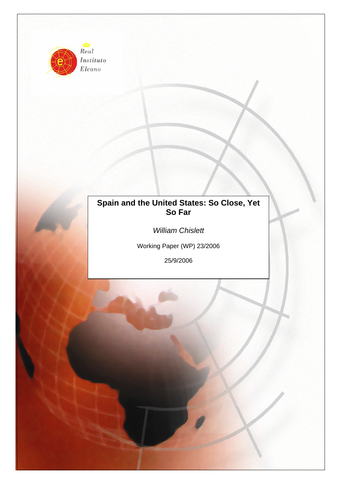

Instituto Elcano

# **Spain and the United States: So Close, Yet So Far**

*William Chislett* 

Working Paper (WP) 23/2006

25/9/2006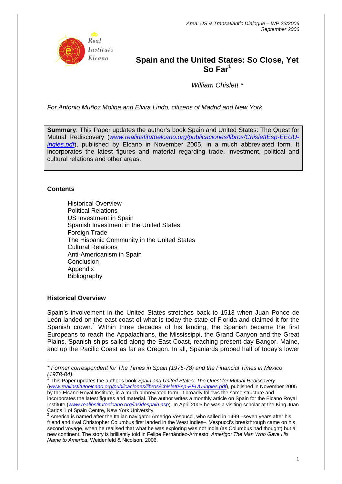

# **Spain and the United States: So Close, Yet So Far<sup>1</sup>**

*William Chislett \** 

*For Antonio Muñoz Molina and Elvira Lindo, citizens of Madrid and New York* 

**Summary**: This Paper updates the author's book Spain and United States: The Quest for Mutual Rediscovery (*[www.realinstitutoelcano.org/publicaciones/libros/ChislettEsp-EEUU](http://www.realinstitutoelcano.org/publicaciones/libros/ChislettEsp-EEUU-ingles.pdf)[ingles.pdf](http://www.realinstitutoelcano.org/publicaciones/libros/ChislettEsp-EEUU-ingles.pdf)*), published by Elcano in November 2005, in a much abbreviated form. It incorporates the latest figures and material regarding trade, investment, political and cultural relations and other areas.

# **Contents**

Historical Overview Political Relations US Investment in Spain Spanish Investment in the United States Foreign Trade The Hispanic Community in the United States Cultural Relations Anti-Americanism in Spain **Conclusion** Appendix Bibliography

## **Historical Overview**

Spain's involvement in the United States stretches back to 1513 when Juan Ponce de León landed on the east coast of what is today the state of Florida and claimed it for the Spanish crown.<sup>[2](#page-1-0)</sup> Within three decades of his landing, the Spanish became the first Europeans to reach the Appalachians, the Mississippi, the Grand Canyon and the Great Plains. Spanish ships sailed along the East Coast, reaching present-day Bangor, Maine, and up the Pacific Coast as far as Oregon. In all, Spaniards probed half of today's lower

*(1978-84).* <sup>1</sup> This Paper updates the author's book *Spain and United States: The Quest for Mutual Rediscovery*  (*[www.realinstitutoelcano.org/publicaciones/libros/ChislettEsp-EEUU-ingles.pdf](http://www.realinstitutoelcano.org/publicaciones/libros/ChislettEsp-EEUU-ingles.pdf)*), published in November 2005 by the Elcano Royal Institute, in a much abbreviated form. It broadly follows the same structure and incorporates the latest figures and material. The author writes a monthly article on Spain for the Elcano Royal Institute (*[www.realinstitutoelcano.org/insidespain.asp](http://www.realinstitutoelcano.org/insidespain.asp)*). In April 2005 he was a visiting scholar at the King Juan Carlos 1 of Spain Centre, New York University.<br><sup>2</sup> America is named efter the Italian povinctor Av

 $\overline{a}$ *\* Former correspondent for The Times in Spain (1975-78) and the Financial Times in Mexico* 

<span id="page-1-0"></span>America is named after the Italian navigator Amerigo Vespucci, who sailed in 1499 –seven years after his friend and rival Christopher Columbus first landed in the West Indies–. Vespucci's breakthrough came on his second voyage, when he realised that what he was exploring was not India (as Columbus had thought) but a new continent. The story is brilliantly told in Felipe Fernández-Armesto, *Amerigo: The Man Who Gave His Name to America*, Weidenfeld & Nicolson, 2006.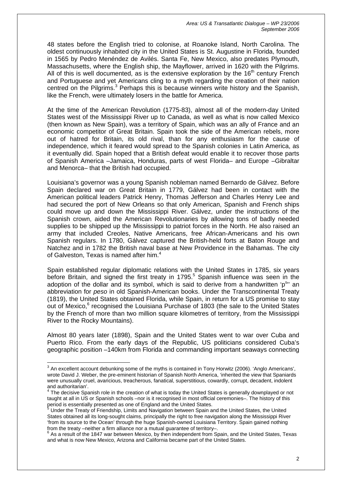48 states before the English tried to colonise, at Roanoke Island, North Carolina. The oldest continuously inhabited city in the United States is St. Augustine in Florida, founded in 1565 by Pedro Menéndez de Avilés. Santa Fe, New Mexico, also predates Plymouth, Massachusetts, where the English ship, the Mayflower, arrived in 1620 with the Pilgrims. All of this is well documented, as is the extensive exploration by the  $16<sup>th</sup>$  century French and Portuguese and yet Americans cling to a myth regarding the creation of their nation centred on the Pilgrims.<sup>[3](#page-2-0)</sup> Perhaps this is because winners write history and the Spanish, like the French, were ultimately losers in the battle for America.

At the time of the American Revolution (1775-83), almost all of the modern-day United States west of the Mississippi River up to Canada, as well as what is now called Mexico (then known as New Spain), was a territory of Spain, which was an ally of France and an economic competitor of Great Britain. Spain took the side of the American rebels, more out of hatred for Britain, its old rival, than for any enthusiasm for the cause of independence, which it feared would spread to the Spanish colonies in Latin America, as it eventually did. Spain hoped that a British defeat would enable it to recover those parts of Spanish America –Jamaica, Honduras, parts of west Florida– and Europe –Gibraltar and Menorca– that the British had occupied.

Louisiana's governor was a young Spanish nobleman named Bernardo de Gálvez. Before Spain declared war on Great Britain in 1779, Gálvez had been in contact with the American political leaders Patrick Henry, Thomas Jefferson and Charles Henry Lee and had secured the port of New Orleans so that only American, Spanish and French ships could move up and down the Mississippi River. Gálvez, under the instructions of the Spanish crown, aided the American Revolutionaries by allowing tons of badly needed supplies to be shipped up the Mississippi to patriot forces in the North. He also raised an army that included Creoles, Native Americans, free African-Americans and his own Spanish regulars. In 1780, Gálvez captured the British-held forts at Baton Rouge and Natchez and in 1782 the British naval base at New Providence in the Bahamas. The city of Galveston. Texas is named after him. $4$ 

Spain established regular diplomatic relations with the United States in 1785, six years before Britain, and signed the first treaty in 179[5](#page-2-2).<sup>5</sup> Spanish influence was seen in the adoption of the dollar and its symbol, which is said to derive from a handwritten 'p<sup>s</sup>" an abbreviation for *peso* in old Spanish-American books. Under the Transcontinental Treaty (1819), the United States obtained Florida, while Spain, in return for a US promise to stay out of Mexico,<sup>[6](#page-2-3)</sup> recognised the Louisiana Purchase of 1803 (the sale to the United States by the French of more than two million square kilometres of territory, from the Mississippi River to the Rocky Mountains).

Almost 80 years later (1898), Spain and the United States went to war over Cuba and Puerto Rico. From the early days of the Republic, US politicians considered Cuba's geographic position –140km from Florida and commanding important seaways connecting

<span id="page-2-0"></span> $^3$  An excellent account debunking some of the myths is contained in Tony Horwitz (2006). 'Anglo Americans', wrote David J. Weber, the pre-eminent historian of Spanish North America, 'inherited the view that Spaniards were unusually cruel, avaricious, treacherous, fanatical, superstitious, cowardly, corrupt, decadent, indolent and authoritarian'.<br><sup>4</sup> The decisive Spanish role in the creation of what is today the United States is generally downplayed or not

<span id="page-2-1"></span>taught at all in US or Spanish schools –nor is it recognised in most official ceremonies–. The history of this period is essentially presented as one of England and the United States. 5

<span id="page-2-2"></span>Under the Treaty of Friendship, Limits and Navigation between Spain and the United States, the United States obtained all its long-sought claims, principally the right to free navigation along the Mississippi River 'from its source to the Ocean' through the huge Spanish-owned Louisiana Territory. Spain gained nothing from the treaty –neither a firm alliance nor a mutual guarantee of territory–.

<span id="page-2-3"></span><sup>&</sup>lt;sup>6</sup> As a result of the 1847 war between Mexico, by then independent from Spain, and the United States, Texas and what is now New Mexico, Arizona and California became part of the United States.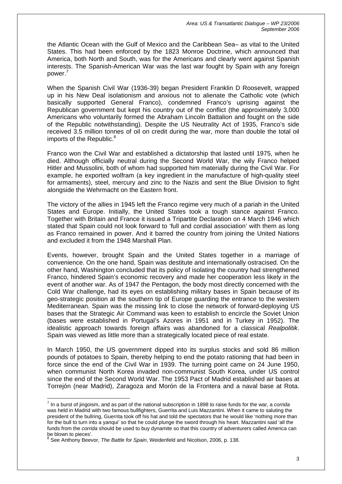the Atlantic Ocean with the Gulf of Mexico and the Caribbean Sea– as vital to the United States. This had been enforced by the 1823 Monroe Doctrine, which announced that America, both North and South, was for the Americans and clearly went against Spanish interests. The Spanish-American War was the last war fought by Spain with any foreign power.[7](#page-3-0)

When the Spanish Civil War (1936-39) began President Franklin D Roosevelt, wrapped up in his New Deal isolationism and anxious not to alienate the Catholic vote (which basically supported General Franco), condemned Franco's uprising against the Republican government but kept his country out of the conflict (the approximately 3,000 Americans who voluntarily formed the Abraham Lincoln Battalion and fought on the side of the Republic notwithstanding). Despite the US Neutrality Act of 1935, Franco's side received 3.5 million tonnes of oil on credit during the war, more than double the total oil imports of the Republic. $8$ 

Franco won the Civil War and established a dictatorship that lasted until 1975, when he died. Although officially neutral during the Second World War, the wily Franco helped Hitler and Mussolini, both of whom had supported him materially during the Civil War. For example, he exported wolfram (a key ingredient in the manufacture of high-quality steel for armaments), steel, mercury and zinc to the Nazis and sent the Blue Division to fight alongside the Wehrmacht on the Eastern front.

The victory of the allies in 1945 left the Franco regime very much of a pariah in the United States and Europe. Initially, the United States took a tough stance against Franco. Together with Britain and France it issued a Tripartite Declaration on 4 March 1946 which stated that Spain could not look forward to 'full and cordial association' with them as long as Franco remained in power. And it barred the country from joining the United Nations and excluded it from the 1948 Marshall Plan.

Events, however, brought Spain and the United States together in a marriage of convenience. On the one hand, Spain was destitute and internationally ostracised. On the other hand, Washington concluded that its policy of isolating the country had strengthened Franco, hindered Spain's economic recovery and made her cooperation less likely in the event of another war. As of 1947 the Pentagon, the body most directly concerned with the Cold War challenge, had its eyes on establishing military bases in Spain because of its geo-strategic position at the southern tip of Europe guarding the entrance to the western Mediterranean. Spain was the missing link to close the network of forward-deploying US bases that the Strategic Air Command was keen to establish to encircle the Soviet Union (bases were established in Portugal's Azores in 1951 and in Turkey in 1952). The idealistic approach towards foreign affairs was abandoned for a classical *Realpolitik*. Spain was viewed as little more than a strategically located piece of real estate.

In March 1950, the US government dipped into its surplus stocks and sold 86 million pounds of potatoes to Spain, thereby helping to end the potato rationing that had been in force since the end of the Civil War in 1939. The turning point came on 24 June 1950, when communist North Korea invaded non-communist South Korea, under US control since the end of the Second World War. The 1953 Pact of Madrid established air bases at Torrejón (near Madrid), Zaragoza and Morón de la Frontera and a naval base at Rota.

 $\overline{a}$ 

<span id="page-3-0"></span><sup>7</sup> In a burst of jingoism, and as part of the national subscription in 1898 to raise funds for the war, a *corrida* was held in Madrid with two famous bullfighters, Guerrita and Luis Mazzantini. When it came to saluting the president of the bullring, Guerrita took off his hat and told the spectators that he would like 'nothing more than for the bull to turn into a yanqui' so that he could plunge the sword through his heart. Mazzantini said 'all the funds from the *corrida* should be used to buy dynamite so that this country of adventurers called America can be blown to pieces'.

<span id="page-3-1"></span><sup>8</sup> See Anthony Beevor, *The Battle for Spain*, Weidenfeld and Nicolson, 2006, p. 138.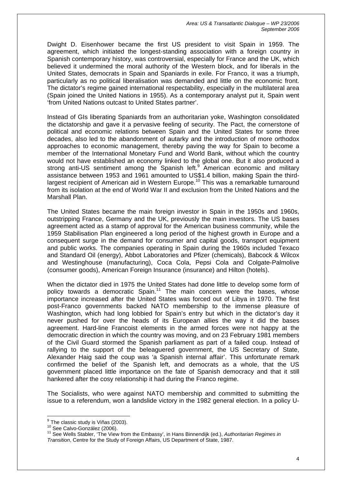Dwight D. Eisenhower became the first US president to visit Spain in 1959. The agreement, which initiated the longest-standing association with a foreign country in Spanish contemporary history, was controversial, especially for France and the UK, which believed it undermined the moral authority of the Western block, and for liberals in the United States, democrats in Spain and Spaniards in exile. For Franco, it was a triumph, particularly as no political liberalisation was demanded and little on the economic front. The dictator's regime gained international respectability, especially in the multilateral area (Spain joined the United Nations in 1955). As a contemporary analyst put it, Spain went 'from United Nations outcast to United States partner'.

Instead of GIs liberating Spaniards from an authoritarian yoke, Washington consolidated the dictatorship and gave it a pervasive feeling of security. The Pact, the cornerstone of political and economic relations between Spain and the United States for some three decades, also led to the abandonment of autarky and the introduction of more orthodox approaches to economic management, thereby paving the way for Spain to become a member of the International Monetary Fund and World Bank, without which the country would not have established an economy linked to the global one. But it also produced a strong anti-US sentiment among the Spanish left.<sup>[9](#page-4-0)</sup> American economic and military assistance between 1953 and 1961 amounted to US\$1.4 billion, making Spain the thirdlargest recipient of American aid in Western Europe.<sup>10</sup> This was a remarkable turnaround from its isolation at the end of World War II and exclusion from the United Nations and the Marshall Plan.

The United States became the main foreign investor in Spain in the 1950s and 1960s, outstripping France, Germany and the UK, previously the main investors. The US bases agreement acted as a stamp of approval for the American business community, while the 1959 Stabilisation Plan engineered a long period of the highest growth in Europe and a consequent surge in the demand for consumer and capital goods, transport equipment and public works. The companies operating in Spain during the 1960s included Texaco and Standard Oil (energy), Abbot Laboratories and Pfizer (chemicals), Babcock & Wilcox and Westinghouse (manufacturing), Coca Cola, Pepsi Cola and Colgate-Palmolive (consumer goods), American Foreign Insurance (insurance) and Hilton (hotels).

When the dictator died in 1975 the United States had done little to develop some form of policy towards a democratic  $Spin<sup>11</sup>$  The main concern were the bases, whose importance increased after the United States was forced out of Libya in 1970. The first post-Franco governments backed NATO membership to the immense pleasure of Washington, which had long lobbied for Spain's entry but which in the dictator's day it never pushed for over the heads of its European allies the way it did the bases agreement. Hard-line Francoist elements in the armed forces were not happy at the democratic direction in which the country was moving, and on 23 February 1981 members of the Civil Guard stormed the Spanish parliament as part of a failed coup. Instead of rallying to the support of the beleaguered government, the US Secretary of State, Alexander Haig said the coup was 'a Spanish internal affair'. This unfortunate remark confirmed the belief of the Spanish left, and democrats as a whole, that the US government placed little importance on the fate of Spanish democracy and that it still hankered after the cosy relationship it had during the Franco regime.

The Socialists, who were against NATO membership and committed to submitting the issue to a referendum, won a landslide victory in the 1982 general election. In a policy U-

 $\overline{\phantom{a}}$ 

<span id="page-4-0"></span><sup>&</sup>lt;sup>9</sup> The classic study is Viñas (2003).<br><sup>10</sup> See Calvo-González (2006).

<span id="page-4-2"></span><span id="page-4-1"></span>

<sup>11</sup> See Calvo-González (2006).<br><sup>10</sup> See Calvo-González (2006).<br><sup>11</sup> See Wells Stabler, 'The View from the Embassy', in Hans Binnendijk (ed.), *Authoritarian Regimes in Transition*, Centre for the Study of Foreign Affairs, US Department of State, 1987.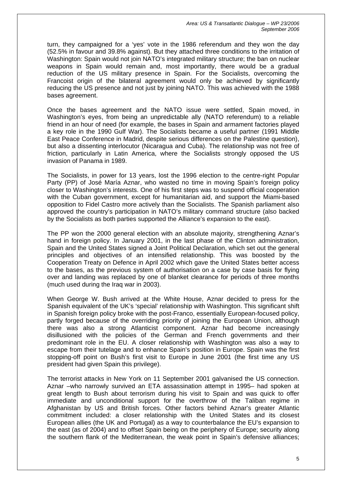turn, they campaigned for a 'yes' vote in the 1986 referendum and they won the day (52.5% in favour and 39.8% against). But they attached three conditions to the irritation of Washington: Spain would not join NATO's integrated military structure; the ban on nuclear weapons in Spain would remain and, most importantly, there would be a gradual reduction of the US military presence in Spain. For the Socialists, overcoming the Francoist origin of the bilateral agreement would only be achieved by significantly reducing the US presence and not just by joining NATO. This was achieved with the 1988 bases agreement.

Once the bases agreement and the NATO issue were settled, Spain moved, in Washington's eyes, from being an unpredictable ally (NATO referendum) to a reliable friend in an hour of need (for example, the bases in Spain and armament factories played a key role in the 1990 Gulf War). The Socialists became a useful partner (1991 Middle East Peace Conference in Madrid, despite serious differences on the Palestine question), but also a dissenting interlocutor (Nicaragua and Cuba). The relationship was not free of friction, particularly in Latin America, where the Socialists strongly opposed the US invasion of Panama in 1989.

The Socialists, in power for 13 years, lost the 1996 election to the centre-right Popular Party (PP) of José María Aznar, who wasted no time in moving Spain's foreign policy closer to Washington's interests. One of his first steps was to suspend official cooperation with the Cuban government, except for humanitarian aid, and support the Miami-based opposition to Fidel Castro more actively than the Socialists. The Spanish parliament also approved the country's participation in NATO's military command structure (also backed by the Socialists as both parties supported the Alliance's expansion to the east).

The PP won the 2000 general election with an absolute majority, strengthening Aznar's hand in foreign policy. In January 2001, in the last phase of the Clinton administration, Spain and the United States signed a Joint Political Declaration, which set out the general principles and objectives of an intensified relationship. This was boosted by the Cooperation Treaty on Defence in April 2002 which gave the United States better access to the bases, as the previous system of authorisation on a case by case basis for flying over and landing was replaced by one of blanket clearance for periods of three months (much used during the Iraq war in 2003).

When George W. Bush arrived at the White House, Aznar decided to press for the Spanish equivalent of the UK's 'special' relationship with Washington. This significant shift in Spanish foreign policy broke with the post-Franco, essentially European-focused policy, partly forged because of the overriding priority of joining the European Union, although there was also a strong Atlanticist component. Aznar had become increasingly disillusioned with the policies of the German and French governments and their predominant role in the EU. A closer relationship with Washington was also a way to escape from their tutelage and to enhance Spain's position in Europe. Spain was the first stopping-off point on Bush's first visit to Europe in June 2001 (the first time any US president had given Spain this privilege).

The terrorist attacks in New York on 11 September 2001 galvanised the US connection. Aznar –who narrowly survived an ETA assassination attempt in 1995– had spoken at great length to Bush about terrorism during his visit to Spain and was quick to offer immediate and unconditional support for the overthrow of the Taliban regime in Afghanistan by US and British forces. Other factors behind Aznar's greater Atlantic commitment included: a closer relationship with the United States and its closest European allies (the UK and Portugal) as a way to counterbalance the EU's expansion to the east (as of 2004) and to offset Spain being on the periphery of Europe; security along the southern flank of the Mediterranean, the weak point in Spain's defensive alliances;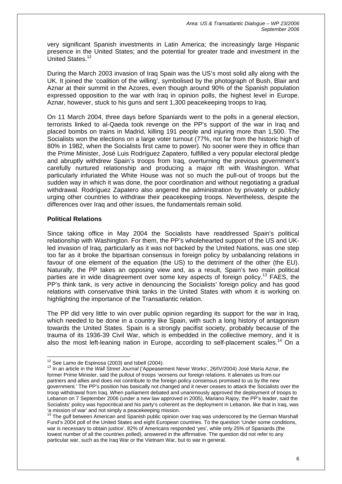very significant Spanish investments in Latin America; the increasingly large Hispanic presence in the United States; and the potential for greater trade and investment in the United States.<sup>[12](#page-6-0)</sup>

During the March 2003 invasion of Iraq Spain was the US's most solid ally along with the UK. It joined the 'coalition of the willing', symbolised by the photograph of Bush, Blair and Aznar at their summit in the Azores, even though around 90% of the Spanish population expressed opposition to the war with Iraq in opinion polls, the highest level in Europe. Aznar, however, stuck to his guns and sent 1,300 peacekeeping troops to Iraq.

On 11 March 2004, three days before Spaniards went to the polls in a general election, terrorists linked to al-Qaeda took revenge on the PP's support of the war in Iraq and placed bombs on trains in Madrid, killing 191 people and injuring more than 1,500. The Socialists won the elections on a large voter turnout (77%, not far from the historic high of 80% in 1982, when the Socialists first came to power). No sooner were they in office than the Prime Minister, José Luis Rodríguez Zapatero, fulfilled a very popular electoral pledge and abruptly withdrew Spain's troops from Iraq, overturning the previous government's carefully nurtured relationship and producing a major rift with Washington. What particularly infuriated the White House was not so much the pull-out of troops but the sudden way in which it was done, the poor coordination and without negotiating a gradual withdrawal. Rodríguez Zapatero also angered the administration by privately or publicly urging other countries to withdraw their peacekeeping troops. Nevertheless, despite the differences over Iraq and other issues, the fundamentals remain solid.

# **Political Relations**

Since taking office in May 2004 the Socialists have readdressed Spain's political relationship with Washington. For them, the PP's wholehearted support of the US and UKled invasion of Iraq, particularly as it was not backed by the United Nations, was one step too far as it broke the bipartisan consensus in foreign policy by unbalancing relations in favour of one element of the equation (the US) to the detriment of the other (the EU). Naturally, the PP takes an opposing view and, as a result, Spain's two main political parties are in wide disagreement over some key aspects of foreign policy.<sup>13</sup> FAES, the PP's think tank, is very active in denouncing the Socialists' foreign policy and has good relations with conservative think tanks in the United States with whom it is working on highlighting the importance of the Transatlantic relation.

The PP did very little to win over public opinion regarding its support for the war in Irag. which needed to be done in a country like Spain, with such a long history of antagonism towards the United States. Spain is a strongly pacifist society, probably because of the trauma of its 1936-39 Civil War, which is embedded in the collective memory, and it is also the most left-leaning nation in Europe, according to self-placement scales.<sup>14</sup> On a

<span id="page-6-0"></span><sup>&</sup>lt;sup>12</sup> See Lamo de Espinosa (2003) and Isbell (2004).

<span id="page-6-1"></span><sup>&</sup>lt;sup>13</sup> In an article in the *Wall Street Journal* ('Appeasement Never Works', 26/IV/2004) José María Aznar, the former Prime Minister, said the pullout of troops 'worsens our foreign relations. It alienates us from our partners and allies and does not contribute to the foreign policy consensus promised to us by the new government.' The PP's position has basically not changed and it never ceases to attack the Socialists over the troop withdrawal from Iraq. When parliament debated and unanimously approved the deployment of troops to Lebanon on 7 September 2006 (under a new law approved in 2005), Mariano Rajoy, the PP's leader, said the Socialists' policy was hypocritical and his party's coherent as the deployment in Lebanon, like that in Iraq, was 'a mission of war' and not simply a peacekeeping mission.

<span id="page-6-2"></span>The gulf between American and Spanish public opinion over Irag was underscored by the German Marshall Fund's 2004 poll of the United States and eight European countries. To the question 'Under some conditions, war is necessary to obtain justice', 82% of Americans responded 'yes', while only 25% of Spaniards (the lowest number of all the countries polled), answered in the affirmative. The question did not refer to any particular war, such as the Iraq War or the Vietnam War, but to war in general.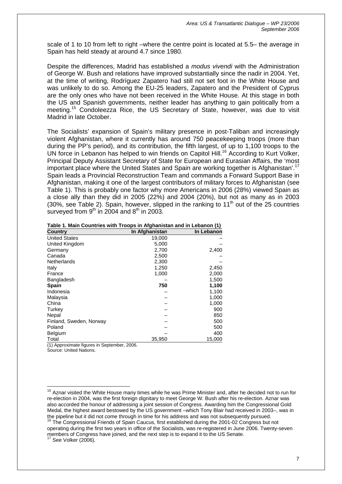scale of 1 to 10 from left to right –where the centre point is located at 5.5– the average in Spain has held steady at around 4.7 since 1980.

Despite the differences, Madrid has established a *modus vivendi* with the Administration of George W. Bush and relations have improved substantially since the nadir in 2004. Yet, at the time of writing, Rodríguez Zapatero had still not set foot in the White House and was unlikely to do so. Among the EU-25 leaders, Zapatero and the President of Cyprus are the only ones who have not been received in the White House. At this stage in both the US and Spanish governments, neither leader has anything to gain politically from a meeting.[15](#page-7-0) Condoleezza Rice, the US Secretary of State, however, was due to visit Madrid in late October.

The Socialists' expansion of Spain's military presence in post-Taliban and increasingly violent Afghanistan, where it currently has around 750 peacekeeping troops (more than during the PP's period), and its contribution, the fifth largest, of up to 1,100 troops to the UN force in Lebanon has helped to win friends on Capitol Hill.<sup>16</sup> According to Kurt Volker, Principal Deputy Assistant Secretary of State for European and Eurasian Affairs, the 'most important place where the United States and Spain are working together is Afghanistan'.<sup>[17](#page-7-2)</sup> Spain leads a Provincial Reconstruction Team and commands a Forward Support Base in Afghanistan, making it one of the largest contributors of military forces to Afghanistan (see Table 1). This is probably one factor why more Americans in 2006 (28%) viewed Spain as a close ally than they did in 2005 (22%) and 2004 (20%), but not as many as in 2003 (30%, see Table 2). Spain, however, slipped in the ranking to  $11<sup>th</sup>$  out of the 25 countries surveyed from  $9<sup>th</sup>$  in 2004 and  $8<sup>th</sup>$  in 2003.

| <b>Country</b>                               | In Afghanistan | In Lebanon |
|----------------------------------------------|----------------|------------|
| <b>United States</b>                         | 19,000         |            |
| United Kingdom                               | 5,000          |            |
| Germany                                      | 2,700          | 2,400      |
| Canada                                       | 2,500          |            |
| Netherlands                                  | 2,300          |            |
| Italy                                        | 1,250          | 2,450      |
| France                                       | 1,000          | 2,000      |
| Bangladesh                                   |                | 1,500      |
| <b>Spain</b>                                 | 750            | 1,100      |
| Indonesia                                    |                | 1,100      |
| Malaysia                                     |                | 1,000      |
| China                                        |                | 1,000      |
| Turkey                                       |                | 900        |
| Nepal                                        |                | 850        |
| Finland, Sweden, Norway                      |                | 500        |
| Poland                                       |                | 500        |
| <b>Belgium</b>                               |                | 400        |
| Total                                        | 35,950         | 15,000     |
| $(4)$ Approximate figures in Contember, 2006 |                |            |

|  |  |  | Table 1. Main Countries with Troops in Afghanistan and in Lebanon (1) |  |  |
|--|--|--|-----------------------------------------------------------------------|--|--|
|  |  |  |                                                                       |  |  |

(1) Approximate figures in September, 2006.

Source: United Nations.

 $\overline{1}$ 

<span id="page-7-2"></span><sup>17</sup> See Volker (2006).

<span id="page-7-0"></span><sup>&</sup>lt;sup>15</sup> Aznar visited the White House many times while he was Prime Minister and, after he decided not to run for re-election in 2004, was the first foreign dignitary to meet George W. Bush after his re-election. Aznar was also accorded the honour of addressing a joint session of Congress. Awarding him the Congressional Gold Medal, the highest award bestowed by the US government –which Tony Blair had received in 2003–, was in the pipeline but it did not come through in time for his address and was not subsequently pursued.<br><sup>16</sup> The Congressional Friends of Spain Caucus, first established during the 2001-02 Congress but not

<span id="page-7-1"></span>operating during the first two years in office of the Socialists, was re-registered in June 2006. Twenty-seven members of Congress have joined, and the next step is to expand it to the US Senate.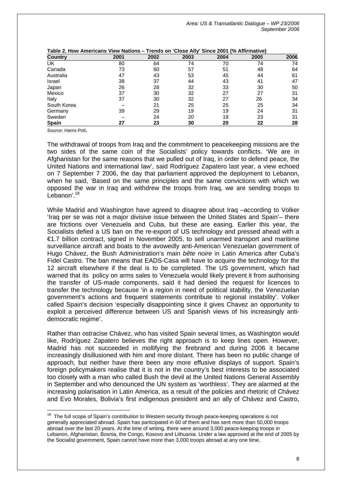| Country      | 2001 | 2002 | 2003 | 2004 | 2005 | 2006 |
|--------------|------|------|------|------|------|------|
| UK           | 80   | 64   | 74   | 70   | 74   | 74   |
| Canada       | 73   | 60   | 57   | 51   | 48   | 64   |
| Australia    | 47   | 43   | 53   | 45   | 44   | 61   |
| Israel       | 38   | 37   | 44   | 43   | 41   | 47   |
| Japan        | 26   | 28   | 32   | 33   | 30   | 50   |
| Mexico       | 37   | 30   | 32   | 27   | 27   | 31   |
| Italy        | 37   | 30   | 32   | 27   | 26   | 34   |
| South Korea  |      | 21   | 25   | 25   | 25   | 34   |
| Germany      | 39   | 29   | 19   | 19   | 24   | 31   |
| Sweden       |      | 24   | 20   | 18   | 23   | 31   |
| <b>Spain</b> | 27   | 23   | 30   | 20   | 22   | 28   |

| Table 2. How Americans View Nations – Trends on 'Close Ally' Since 2001 (% Affirmative) |  |
|-----------------------------------------------------------------------------------------|--|
|-----------------------------------------------------------------------------------------|--|

Source: Harris Poll.

The withdrawal of troops from Iraq and the commitment to peacekeeping missions are the two sides of the same coin of the Socialists' policy towards conflicts. 'We are in Afghanistan for the same reasons that we pulled out of Iraq, in order to defend peace, the United Nations and international law', said Rodríguez Zapatero last year, a view echoed on 7 September 7 2006, the day that parliament approved the deployment to Lebanon, when he said, 'Based on the same principles and the same convictions with which we opposed the war in Iraq and withdrew the troops from Iraq, we are sending troops to Lebanon'.<sup>[18](#page-8-0)</sup>

While Madrid and Washington have agreed to disagree about Iraq –according to Volker 'Iraq per se was not a major divisive issue between the United States and Spain'– there are frictions over Venezuela and Cuba, but these are easing. Earlier this year, the Socialists defied a US ban on the re-export of US technology and pressed ahead with a €1.7 billion contract, signed in November 2005, to sell unarmed transport and maritime surveillance aircraft and boats to the avowedly anti-American Venezuelan government of Hugo Chávez, the Bush Administration's main *bête noire* in Latin America after Cuba's Fidel Castro. The ban means that EADS-Casa will have to acquire the technology for the 12 aircraft elsewhere if the deal is to be completed. The US government, which had warned that its policy on arms sales to Venezuela would likely prevent it from authorising the transfer of US-made components, said it had denied the request for licences to transfer the technology because 'in a region in need of political stability, the Venezuelan government's actions and frequent statements contribute to regional instability'. Volker called Spain's decision 'especially disappointing since it gives Chavez an opportunity to exploit a perceived difference between US and Spanish views of his increasingly antidemocratic regime'.

Rather than ostracise Chávez, who has visited Spain several times, as Washington would like, Rodríguez Zapatero believes the right approach is to keep lines open. However, Madrid has not succeeded in mollifying the firebrand and during 2006 it became increasingly disillusioned with him and more distant. There has been no public change of approach, but neither have there been any more effusive displays of support. Spain's foreign policymakers realise that it is not in the country's best interests to be associated too closely with a man who called Bush the devil at the United Nations General Assembly in September and who denounced the UN system as 'worthless'. They are alarmed at the increasing polarisation in Latin America, as a result of the policies and rhetoric of Chávez and Evo Morales, Bolivia's first indigenous president and an ally of Chávez and Castro,

<span id="page-8-0"></span> $\overline{a}$  $18$  The full scope of Spain's contribution to Western security through peace-keeping operations is not generally appreciated abroad. Spain has participated in 60 of them and has sent more than 50,000 troops abroad over the last 20 years. At the time of writing, there were around 3,000 peace-keeping troops in Lebanon, Afghanistan, Bosnia, the Congo, Kosovo and Lithuania. Under a law approved at the end of 2005 by the Socialist government, Spain cannot have more than 3,000 troops abroad at any one time.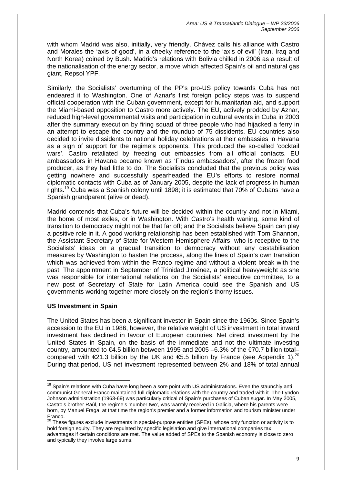with whom Madrid was also, initially, very friendly. Chávez calls his alliance with Castro and Morales the 'axis of good', in a cheeky reference to the 'axis of evil' (Iran, Iraq and North Korea) coined by Bush. Madrid's relations with Bolivia chilled in 2006 as a result of the nationalisation of the energy sector, a move which affected Spain's oil and natural gas giant, Repsol YPF.

Similarly, the Socialists' overturning of the PP's pro-US policy towards Cuba has not endeared it to Washington. One of Aznar's first foreign policy steps was to suspend official cooperation with the Cuban government, except for humanitarian aid, and support the Miami-based opposition to Castro more actively. The EU, actively prodded by Aznar, reduced high-level governmental visits and participation in cultural events in Cuba in 2003 after the summary execution by firing squad of three people who had hijacked a ferry in an attempt to escape the country and the roundup of 75 dissidents. EU countries also decided to invite dissidents to national holiday celebrations at their embassies in Havana as a sign of support for the regime's opponents. This produced the so-called 'cocktail wars'. Castro retaliated by freezing out embassies from all official contacts. EU ambassadors in Havana became known as 'Findus ambassadors', after the frozen food producer, as they had little to do. The Socialists concluded that the previous policy was getting nowhere and successfully spearheaded the EU's efforts to restore normal diplomatic contacts with Cuba as of January 2005, despite the lack of progress in human rights.<sup>19</sup> Cuba was a Spanish colony until 1898; it is estimated that 70% of Cubans have a Spanish grandparent (alive or dead).

Madrid contends that Cuba's future will be decided within the country and not in Miami, the home of most exiles, or in Washington. With Castro's health waning, some kind of transition to democracy might not be that far off; and the Socialists believe Spain can play a positive role in it. A good working relationship has been established with Tom Shannon, the Assistant Secretary of State for Western Hemisphere Affairs, who is receptive to the Socialists' ideas on a gradual transition to democracy without any destabilisation measures by Washington to hasten the process, along the lines of Spain's own transition which was achieved from within the Franco regime and without a violent break with the past. The appointment in September of Trinidad Jiménez, a political heavyweight as she was responsible for international relations on the Socialists' executive committee, to a new post of Secretary of State for Latin America could see the Spanish and US governments working together more closely on the region's thorny issues.

## **US Investment in Spain**

The United States has been a significant investor in Spain since the 1960s. Since Spain's accession to the EU in 1986, however, the relative weight of US investment in total inward investment has declined in favour of European countries. Net direct investment by the United States in Spain, on the basis of the immediate and not the ultimate investing country, amounted to €4.5 billion between 1995 and 2005 –6.3% of the €70.7 billion total– compared with  $\epsilon$ 21.3 billion by the UK and  $\epsilon$ 5.5 billion by France (see Appendix 1).<sup>[20](#page-9-1)</sup> During that period, US net investment represented between 2% and 18% of total annual

<span id="page-9-0"></span> $\overline{a}$ <sup>19</sup> Spain's relations with Cuba have long been a sore point with US administrations. Even the staunchly anti communist General Franco maintained full diplomatic relations with the country and traded with it. The Lyndon Johnson administration (1963-69) was particularly critical of Spain's purchases of Cuban sugar. In May 2005, Castro's brother Raúl, the regime's 'number two', was warmly received in Galicia, where his parents were born, by Manuel Fraga, at that time the region's premier and a former information and tourism minister under Franco.

<span id="page-9-1"></span> $^{20}$  These figures exclude investments in special-purpose entities (SPEs), whose only function or activity is to hold foreign equity. They are regulated by specific legislation and give international companies tax advantages if certain conditions are met. The value added of SPEs to the Spanish economy is close to zero and typically they involve large sums.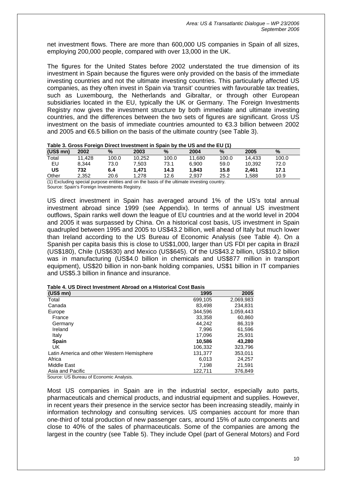net investment flows. There are more than 600,000 US companies in Spain of all sizes, employing 200,000 people, compared with over 13,000 in the UK.

The figures for the United States before 2002 understated the true dimension of its investment in Spain because the figures were only provided on the basis of the immediate investing countries and not the ultimate investing countries. This particularly affected US companies, as they often invest in Spain via 'transit' countries with favourable tax treaties, such as Luxembourg, the Netherlands and Gibraltar, or through other European subsidiaries located in the EU, typically the UK or Germany. The Foreign Investments Registry now gives the investment structure by both immediate and ultimate investing countries, and the differences between the two sets of figures are significant. Gross US investment on the basis of immediate countries amounted to €3.3 billion between 2002 and 2005 and €6.5 billion on the basis of the ultimate country (see Table 3).

|            | Table 3. Gross Foreign Direct investment in Spain by the OS and the EO (1) |       |        |       |        |       |        |       |  |
|------------|----------------------------------------------------------------------------|-------|--------|-------|--------|-------|--------|-------|--|
| $(US$$ mn) | 2002                                                                       | %     | 2003   | $\%$  | 2004   | %     | 2005   | $\%$  |  |
| Total      | 11.428                                                                     | 100.0 | 10.252 | 100.0 | 11.680 | 100.0 | 14.433 | 100.0 |  |
| EU         | 8.344                                                                      | 73.0  | 7.503  | 73.1  | 6.900  | 59.0  | 10.392 | 72.0  |  |
| US         | 732                                                                        | 6.4   | 1.471  | 14.3  | 1.843  | 15.8  | 2.461  | 17.1  |  |
| Other      | 2.352                                                                      | 20.6  | 278. ا | 12.6  | 2.937  | 25.2  | 1.588  | 10.9  |  |
|            | . .                                                                        |       | .      | .     |        |       |        |       |  |

### **Table 3. Gross Foreign Direct Investment in Spain by the US and the EU (1)**

(1) Excluding special purpose entities and on the basis of the ultimate investing country. Source: Spain's Foreign Investments Registry.

US direct investment in Spain has averaged around 1% of the US's total annual investment abroad since 1999 (see Appendix). In terms of annual US investment outflows, Spain ranks well down the league of EU countries and at the world level in 2004 and 2005 it was surpassed by China. On a historical cost basis, US investment in Spain quadrupled between 1995 and 2005 to US\$43.2 billion, well ahead of Italy but much lower than Ireland according to the US Bureau of Economic Analysis (see Table 4). On a Spanish per capita basis this is close to US\$1,000, larger than US FDI per capita in Brazil (US\$180), Chile (US\$630) and Mexico (US\$645). Of the US\$43.2 billion, US\$10.2 billion was in manufacturing (US\$4.0 billion in chemicals and US\$877 million in transport equipment), US\$20 billion in non-bank holding companies, US\$1 billion in IT companies and US\$5.3 billion in finance and insurance.

| $(US$$ mn)                                 | 1995    | 2005      |
|--------------------------------------------|---------|-----------|
| Total                                      | 699,105 | 2,069,983 |
| Canada                                     | 83.498  | 234,831   |
| Europe                                     | 344,596 | 1,059,443 |
| France                                     | 33,358  | 60.860    |
| Germany                                    | 44,242  | 86,319    |
| Ireland                                    | 7.996   | 61,596    |
| Italy                                      | 17.096  | 25.931    |
| <b>Spain</b>                               | 10,586  | 43,280    |
| UK.                                        | 106.332 | 323,796   |
| Latin America and other Western Hemisphere | 131.377 | 353,011   |
| Africa                                     | 6.013   | 24,257    |
| Middle East                                | 7.198   | 21.591    |
| Asia and Pacific                           | 122,711 | 376,849   |

Source: US Bureau of Economic Analysis.

Most US companies in Spain are in the industrial sector, especially auto parts, pharmaceuticals and chemical products, and industrial equipment and supplies. However, in recent years their presence in the service sector has been increasing steadily, mainly in information technology and consulting services. US companies account for more than one-third of total production of new passenger cars, around 15% of auto components and close to 40% of the sales of pharmaceuticals. Some of the companies are among the largest in the country (see Table 5). They include Opel (part of General Motors) and Ford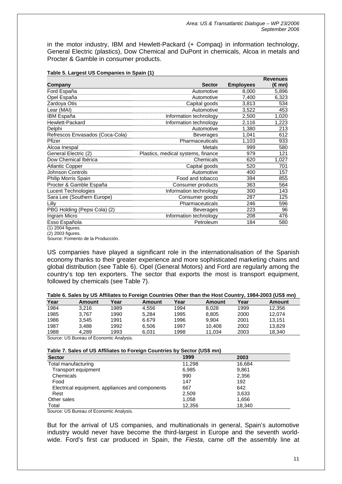in the motor industry, IBM and Hewlett-Packard (+ Compaq) in information technology, General Electric (plastics), Dow Chemical and DuPont in chemicals, Alcoa in metals and Procter & Gamble in consumer products.

|                                 |                                    |                  | <b>Revenues</b> |
|---------------------------------|------------------------------------|------------------|-----------------|
| Company                         | <b>Sector</b>                      | <b>Employees</b> | (€mn)           |
| Ford España                     | Automotive                         | 8,000            | 5,896           |
| Opel España                     | Automotive                         | 7,400            | 6,323           |
| Zardoya Otis                    | Capital goods                      | 3,813            | 534             |
| Lear (MAI)                      | Automotive                         | 3,522            | 453             |
| <b>IBM España</b>               | Information technology             | 2,500            | 1,020           |
| Hewlett-Packard                 | Information technology             | 2,116            | 1,223           |
| Delphi                          | Automotive                         | 1,380            | 213             |
| Refrescos Envasados (Coca-Cola) | <b>Beverages</b>                   | 1,041            | 612             |
| Pfizer                          | Pharmaceuticals                    | 1,103            | 933             |
| Alcoa Inespal                   | Metals                             | 999              | 580             |
| General Electric (2)            | Plastics, medical systems, finance | 979              | 121             |
| Dow Chemical Ibérica            | Chemicals                          | 620              | 1,027           |
| <b>Atlantic Copper</b>          | Capital goods                      | 520              | 701             |
| Johnson Controls                | Automotive                         | 400              | 157             |
| Philip Morris Spain             | Food and tobacco                   | 394              | 855             |
| Procter & Gamble España         | Consumer products                  | 363              | 564             |
| Lucent Technologies             | Information technology             | 300              | 143             |
| Sara Lee (Southern Europe)      | Consumer goods                     | 287              | 125             |
| Lilly                           | Pharmaceuticals                    | 246              | 596             |
| PBG Holding (Pepsi Cola) (2)    | <b>Beverages</b>                   | 223              | 96              |
| Ingram Micro                    | Information technology             | 208              | 476             |
| Esso Española                   | Petroleum                          | 184              | 580             |
| (1) 2004 figures.               |                                    |                  |                 |

#### **Table 5. Largest US Companies in Spain (1)**

(2) 2003 figures. Source: Fomento de la Producción.

US companies have played a significant role in the internationalisation of the Spanish economy thanks to their greater experience and more sophisticated marketing chains and global distribution (see Table 6). Opel (General Motors) and Ford are regularly among the country's top ten exporters. The sector that exports the most is transport equipment, followed by chemicals (see Table 7).

### **Table 6. Sales by US Affiliates to Foreign Countries Other than the Host Country, 1984-2003 (US\$ mn)**

| Year | Amount | Year | Amount | Year | Amount | Year | Amount |
|------|--------|------|--------|------|--------|------|--------|
| 1984 | 3.216  | 1989 | 4.556  | 1994 | 8.028  | 1999 | 12.356 |
| 1985 | 3.767  | 1990 | 5.284  | 1995 | 8.805  | 2000 | 12.074 |
| 1986 | 3.545  | 1991 | 6.679  | 1996 | 9.904  | 2001 | 13.151 |
| 1987 | 3.488  | 1992 | 6.506  | 1997 | 10.408 | 2002 | 13.829 |
| 1988 | 4.289  | 1993 | 6.031  | 1998 | 11.034 | 2003 | 18.340 |

Source: US Bureau of Economic Analysis.

#### **Table 7. Sales of US Affiliates to Foreign Countries by Sector (US\$ mn)**

| <b>Sector</b>                                   | 1999   | 2003   |
|-------------------------------------------------|--------|--------|
| Total manufacturing                             | 11,298 | 16,684 |
| Transport equipment                             | 6,985  | 9,861  |
| Chemicals                                       | 990    | 2,356  |
| Food                                            | 147    | 192    |
| Electrical equipment, appliances and components | 667    | 642    |
| Rest                                            | 2,509  | 3,633  |
| Other sales                                     | 1.058  | 1,656  |
| Total                                           | 12,356 | 18,340 |

Source: US Bureau of Economic Analysis.

But for the arrival of US companies, and multinationals in general, Spain's automotive industry would never have become the third-largest in Europe and the seventh worldwide. Ford's first car produced in Spain, the *Fiesta*, came off the assembly line at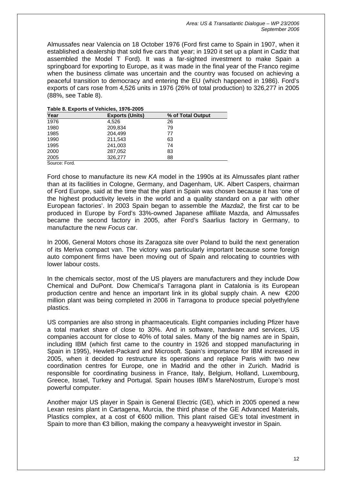Almussafes near Valencia on 18 October 1976 (Ford first came to Spain in 1907, when it established a dealership that sold five cars that year; in 1920 it set up a plant in Cadiz that assembled the Model T Ford). It was a far-sighted investment to make Spain a springboard for exporting to Europe, as it was made in the final year of the Franco regime when the business climate was uncertain and the country was focused on achieving a peaceful transition to democracy and entering the EU (which happened in 1986). Ford's exports of cars rose from 4,526 units in 1976 (26% of total production) to 326,277 in 2005 (88%, see Table 8).

| Year                  | <b>Exports (Units)</b> | % of Total Output |  |  |  |  |  |
|-----------------------|------------------------|-------------------|--|--|--|--|--|
| 1976                  | 4.526                  | 26                |  |  |  |  |  |
| 1980                  | 209,834                | 79                |  |  |  |  |  |
| 1985                  | 204.499                | 77                |  |  |  |  |  |
| 1990                  | 211,543                | 63                |  |  |  |  |  |
| 1995                  | 241,003                | 74                |  |  |  |  |  |
| 2000                  | 287,052                | 83                |  |  |  |  |  |
| 2005                  | 326,277                | 88                |  |  |  |  |  |
| $\bigcap$ $\bigcap$ 1 |                        |                   |  |  |  |  |  |

### **Table 8. Exports of Vehicles, 1976-2005**

Source: Ford.

Ford chose to manufacture its new *KA* model in the 1990s at its Almussafes plant rather than at its facilities in Cologne, Germany, and Dagenham, UK. Albert Caspers, chairman of Ford Europe, said at the time that the plant in Spain was chosen because it has 'one of the highest productivity levels in the world and a quality standard on a par with other European factories'. In 2003 Spain began to assemble the *Mazda2*, the first car to be produced in Europe by Ford's 33%-owned Japanese affiliate Mazda, and Almussafes became the second factory in 2005, after Ford's Saarlius factory in Germany, to manufacture the new *Focus* car.

In 2006, General Motors chose its Zaragoza site over Poland to build the next generation of its Meriva compact van. The victory was particularly important because some foreign auto component firms have been moving out of Spain and relocating to countries with lower labour costs.

In the chemicals sector, most of the US players are manufacturers and they include Dow Chemical and DuPont. Dow Chemical's Tarragona plant in Catalonia is its European production centre and hence an important link in its global supply chain. A new €200 million plant was being completed in 2006 in Tarragona to produce special polyethylene plastics.

US companies are also strong in pharmaceuticals. Eight companies including Pfizer have a total market share of close to 30%. And in software, hardware and services, US companies account for close to 40% of total sales. Many of the big names are in Spain, including IBM (which first came to the country in 1926 and stopped manufacturing in Spain in 1995), Hewlett-Packard and Microsoft. Spain's importance for IBM increased in 2005, when it decided to restructure its operations and replace Paris with two new coordination centres for Europe, one in Madrid and the other in Zurich. Madrid is responsible for coordinating business in France, Italy, Belgium, Holland, Luxembourg, Greece, Israel, Turkey and Portugal. Spain houses IBM's MareNostrum, Europe's most powerful computer.

Another major US player in Spain is General Electric (GE), which in 2005 opened a new Lexan resins plant in Cartagena, Murcia, the third phase of the GE Advanced Materials, Plastics complex, at a cost of €600 million. This plant raised GE's total investment in Spain to more than €3 billion, making the company a heavyweight investor in Spain.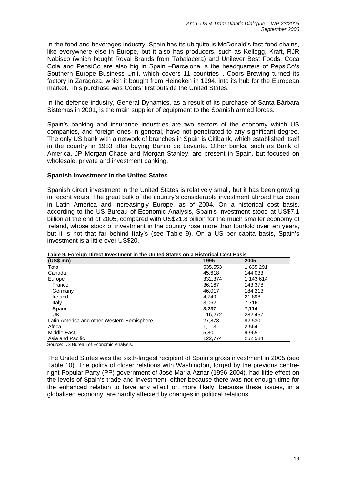In the food and beverages industry, Spain has its ubiquitous McDonald's fast-food chains, like everywhere else in Europe, but it also has producers, such as Kellogg, Kraft, RJR Nabisco (which bought Royal Brands from Tabalacera) and Unilever Best Foods. Coca Cola and PepsiCo are also big in Spain –Barcelona is the headquarters of PepsiCo's Southern Europe Business Unit, which covers 11 countries–. Coors Brewing turned its factory in Zaragoza, which it bought from Heineken in 1994, into its hub for the European market. This purchase was Coors' first outside the United States.

In the defence industry, General Dynamics, as a result of its purchase of Santa Bárbara Sistemas in 2001, is the main supplier of equipment to the Spanish armed forces.

Spain's banking and insurance industries are two sectors of the economy which US companies, and foreign ones in general, have not penetrated to any significant degree. The only US bank with a network of branches in Spain is Citibank, which established itself in the country in 1983 after buying Banco de Levante. Other banks, such as Bank of America, JP Morgan Chase and Morgan Stanley, are present in Spain, but focused on wholesale, private and investment banking.

### **Spanish Investment in the United States**

Spanish direct investment in the United States is relatively small, but it has been growing in recent years. The great bulk of the country's considerable investment abroad has been in Latin America and increasingly Europe, as of 2004. On a historical cost basis, according to the US Bureau of Economic Analysis, Spain's investment stood at US\$7.1 billion at the end of 2005, compared with US\$21.8 billion for the much smaller economy of Ireland, whose stock of investment in the country rose more than fourfold over ten years, but it is not that far behind Italy's (see Table 9). On a US per capita basis, Spain's investment is a little over US\$20.

| $(US$$ mn)                                 | 1995    | 2005      |
|--------------------------------------------|---------|-----------|
| Total                                      | 535,553 | 1,635,291 |
| Canada                                     | 45.618  | 144.033   |
| Europe                                     | 332,374 | 1,143,614 |
| France                                     | 36,167  | 143,378   |
| Germany                                    | 46.017  | 184.213   |
| Ireland                                    | 4.749   | 21.898    |
| Italy                                      | 3,062   | 7.716     |
| <b>Spain</b>                               | 3.237   | 7.114     |
| UK                                         | 116,272 | 282.457   |
| Latin America and other Western Hemisphere | 27,873  | 82,530    |
| Africa                                     | 1.113   | 2.564     |
| Middle East                                | 5,801   | 9,965     |
| Asia and Pacific                           | 122.774 | 252.584   |

**Table 9. Foreign Direct Investment in the United States on a Historical Cost Basis** 

Source: US Bureau of Economic Analysis.

The United States was the sixth-largest recipient of Spain's gross investment in 2005 (see Table 10). The policy of closer relations with Washington, forged by the previous centreright Popular Party (PP) government of José María Aznar (1996-2004), had little effect on the levels of Spain's trade and investment, either because there was not enough time for the enhanced relation to have any effect or, more likely, because these issues, in a globalised economy, are hardly affected by changes in political relations.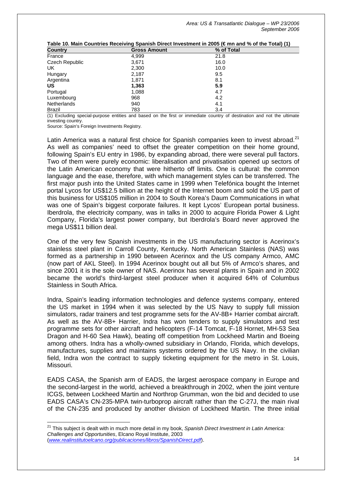| Table TV. Mail Countiles Receiving Opamsh Direct investment in 2000 (Chin and 70 Of the Total) (T) |                     |            |  |
|----------------------------------------------------------------------------------------------------|---------------------|------------|--|
| <b>Country</b>                                                                                     | <b>Gross Amount</b> | % of Total |  |
| France                                                                                             | 4,999               | 21.8       |  |
| Czech Republic                                                                                     | 3,671               | 16.0       |  |
| UK                                                                                                 | 2,300               | 10.0       |  |
| Hungary                                                                                            | 2,187               | 9.5        |  |
| Argentina                                                                                          | 1.871               | 8.1        |  |
| US                                                                                                 | 1,363               | 5.9        |  |
| Portugal                                                                                           | 1,088               | 4.7        |  |
| Luxembourg                                                                                         | 968                 | 4.2        |  |
| Netherlands                                                                                        | 940                 | 4.1        |  |
| <b>Brazil</b>                                                                                      | 783                 | 3.4        |  |

**Table 10. Main Countries Receiving Spanish Direct Investment in 2005 (€ mn and % of the Total) (1)** 

(1) Excluding special-purpose entities and based on the first or immediate country of destination and not the ultimate investing country.

Source: Spain's Foreign Investments Registry.

Latin America was a natural first choice for Spanish companies keen to invest abroad.<sup>[21](#page-14-0)</sup> As well as companies' need to offset the greater competition on their home ground, following Spain's EU entry in 1986, by expanding abroad, there were several pull factors. Two of them were purely economic: liberalisation and privatisation opened up sectors of the Latin American economy that were hitherto off limits. One is cultural: the common language and the ease, therefore, with which management styles can be transferred. The first major push into the United States came in 1999 when Telefónica bought the Internet portal Lycos for US\$12.5 billion at the height of the Internet boom and sold the US part of this business for US\$105 million in 2004 to South Korea's Daum Communications in what was one of Spain's biggest corporate failures. It kept Lycos' European portal business. Iberdrola, the electricity company, was in talks in 2000 to acquire Florida Power & Light Company, Florida's largest power company, but Iberdrola's Board never approved the mega US\$11 billion deal.

One of the very few Spanish investments in the US manufacturing sector is Acerinox's stainless steel plant in Carroll County, Kentucky. North American Stainless (NAS) was formed as a partnership in 1990 between Acerinox and the US company Armco, AMC (now part of AKL Steel). In 1994 Acerinox bought out all but 5% of Armco's shares, and since 2001 it is the sole owner of NAS. Acerinox has several plants in Spain and in 2002 became the world's third-largest steel producer when it acquired 64% of Columbus Stainless in South Africa.

Indra, Spain's leading information technologies and defence systems company, entered the US market in 1994 when it was selected by the US Navy to supply full mission simulators, radar trainers and test programme sets for the AV-8B+ Harrier combat aircraft. As well as the AV-8B+ Harrier, Indra has won tenders to supply simulators and test programme sets for other aircraft and helicopters (F-14 Tomcat, F-18 Hornet, MH-53 Sea Dragon and H-60 Sea Hawk), beating off competition from Lockheed Martin and Boeing among others. Indra has a wholly-owned subsidiary in Orlando, Florida, which develops, manufactures, supplies and maintains systems ordered by the US Navy. In the civilian field, Indra won the contract to supply ticketing equipment for the metro in St. Louis, Missouri.

EADS CASA, the Spanish arm of EADS, the largest aerospace company in Europe and the second-largest in the world, achieved a breakthrough in 2002, when the joint venture ICGS, between Lockheed Martin and Northrop Grumman, won the bid and decided to use EADS CASA's CN-235-MPA twin-turboprop aircraft rather than the C-27J, the main rival of the CN-235 and produced by another division of Lockheed Martin. The three initial

<span id="page-14-0"></span> $\overline{a}$ <sup>21</sup> This subject is dealt with in much more detail in my book, *Spanish Direct Investment in Latin America: Challenges and Opportunities*, Elcano Royal Institute, 2003 (*[www.realinstitutoelcano.org/publicaciones/libros/SpanishDirect.pdf](http://www.realinstitutoelcano.org/publicaciones/libros/SpanishDirect.pdf)*).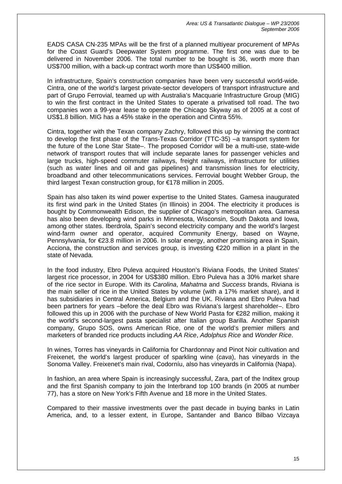EADS CASA CN-235 MPAs will be the first of a planned multiyear procurement of MPAs for the Coast Guard's Deepwater System programme. The first one was due to be delivered in November 2006. The total number to be bought is 36, worth more than US\$700 million, with a back-up contract worth more than US\$400 million.

In infrastructure, Spain's construction companies have been very successful world-wide. Cintra, one of the world's largest private-sector developers of transport infrastructure and part of Grupo Ferrovial, teamed up with Australia's Macquarie Infrastructure Group (MIG) to win the first contract in the United States to operate a privatised toll road. The two companies won a 99-year lease to operate the Chicago Skyway as of 2005 at a cost of US\$1.8 billion. MIG has a 45% stake in the operation and Cintra 55%.

Cintra, together with the Texan company Zachry, followed this up by winning the contract to develop the first phase of the Trans-Texas Corridor (TTC-35) –a transport system for the future of the Lone Star State–. The proposed Corridor will be a multi-use, state-wide network of transport routes that will include separate lanes for passenger vehicles and large trucks, high-speed commuter railways, freight railways, infrastructure for utilities (such as water lines and oil and gas pipelines) and transmission lines for electricity, broadband and other telecommunications services. Ferrovial bought Webber Group, the third largest Texan construction group, for €178 million in 2005.

Spain has also taken its wind power expertise to the United States. Gamesa inaugurated its first wind park in the United States (in Illinois) in 2004. The electricity it produces is bought by Commonwealth Edison, the supplier of Chicago's metropolitan area. Gamesa has also been developing wind parks in Minnesota, Wisconsin, South Dakota and Iowa, among other states. Iberdrola, Spain's second electricity company and the world's largest wind-farm owner and operator, acquired Community Energy, based on Wayne, Pennsylvania, for €23.8 million in 2006. In solar energy, another promising area in Spain, Acciona, the construction and services group, is investing €220 million in a plant in the state of Nevada.

In the food industry, Ebro Puleva acquired Houston's Riviana Foods, the United States' largest rice processor, in 2004 for US\$380 million. Ebro Puleva has a 30% market share of the rice sector in Europe. With its *Carolina*, *Mahatma* and *Success* brands, Riviana is the main seller of rice in the United States by volume (with a 17% market share), and it has subsidiaries in Central America, Belgium and the UK. Riviana and Ebro Puleva had been partners for years –before the deal Ebro was Riviana's largest shareholder–. Ebro followed this up in 2006 with the purchase of New World Pasta for €282 million, making it the world's second-largest pasta specialist after Italian group Barilla. Another Spanish company, Grupo SOS, owns American Rice, one of the world's premier millers and marketers of branded rice products including *AA Rice*, *Adolphus Rice* and *Wonder Rice*.

In wines, Torres has vineyards in California for Chardonnay and Pinot Noir cultivation and Freixenet, the world's largest producer of sparkling wine (*cava*), has vineyards in the Sonoma Valley. Freixenet's main rival, Codorníu, also has vineyards in California (Napa).

In fashion, an area where Spain is increasingly successful, Zara, part of the Inditex group and the first Spanish company to join the Interbrand top 100 brands (in 2005 at number 77), has a store on New York's Fifth Avenue and 18 more in the United States.

Compared to their massive investments over the past decade in buying banks in Latin America, and, to a lesser extent, in Europe, Santander and Banco Bilbao Vizcaya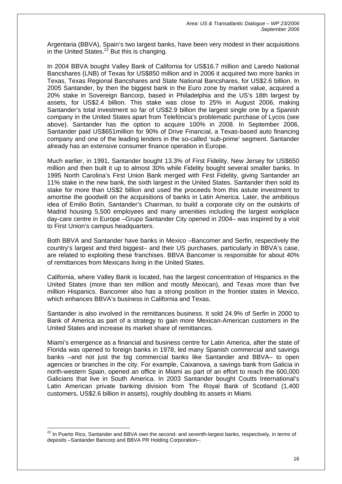Argentaria (BBVA), Spain's two largest banks, have been very modest in their acquisitions in the United States. $2^2$  But this is changing.

In 2004 BBVA bought Valley Bank of California for US\$16.7 million and Laredo National Bancshares (LNB) of Texas for US\$850 million and in 2006 it acquired two more banks in Texas, Texas Regional Bancshares and State National Bancshares, for US\$2.6 billion. In 2005 Santander, by then the biggest bank in the Euro zone by market value, acquired a 20% stake in Sovereign Bancorp, based in Philadelphia and the US's 18th largest by assets, for US\$2.4 billion. This stake was close to 25% in August 2006, making Santander's total investment so far of US\$2.9 billion the largest single one by a Spanish company in the United States apart from Telefóncia's problematic purchase of Lycos (see above). Santander has the option to acquire 100% in 2008. In September 2006, Santander paid US\$651million for 90% of Drive Financial, a Texas-based auto financing company and one of the leading lenders in the so-called 'sub-prime' segment. Santander already has an extensive consumer finance operation in Europe.

Much earlier, in 1991, Santander bought 13.3% of First Fidelity, New Jersey for US\$650 million and then built it up to almost 30% while Fidelity bought several smaller banks. In 1995 North Carolina's First Union Bank merged with First Fidelity, giving Santander an 11% stake in the new bank, the sixth largest in the United States. Santander then sold its stake for more than US\$2 billion and used the proceeds from this astute investment to amortise the goodwill on the acquisitions of banks in Latin America. Later, the ambitious idea of Emilio Botín, Santander's Chairman, to build a corporate city on the outskirts of Madrid housing 5,500 employees and many amenities including the largest workplace day-care centre in Europe –Grupo Santander City opened in 2004– was inspired by a visit to First Union's campus headquarters.

Both BBVA and Santander have banks in Mexico –Bancomer and Serfin, respectively the country's largest and third biggest– and their US purchases, particularly in BBVA's case, are related to exploiting these franchises. BBVA Bancomer is responsible for about 40% of remittances from Mexicans living in the United States.

California, where Valley Bank is located, has the largest concentration of Hispanics in the United States (more than ten million and mostly Mexican), and Texas more than five million Hispanics. Bancomer also has a strong position in the frontier states in Mexico, which enhances BBVA's business in California and Texas.

Santander is also involved in the remittances business. It sold 24.9% of Serfin in 2000 to Bank of America as part of a strategy to gain more Mexican-American customers in the United States and increase its market share of remittances.

Miami's emergence as a financial and business centre for Latin America, after the state of Florida was opened to foreign banks in 1978, led many Spanish commercial and savings banks –and not just the big commercial banks like Santander and BBVA– to open agencies or branches in the city. For example, Caixanova, a savings bank from Galicia in north-western Spain, opened an office in Miami as part of an effort to reach the 600,000 Galicians that live in South America. In 2003 Santander bought Coutts International's Latin American private banking division from The Royal Bank of Scotland (1,400 customers, US\$2.6 billion in assets), roughly doubling its assets in Miami.

 $\overline{a}$ 

<span id="page-16-0"></span> $^{22}$  In Puerto Rico, Santander and BBVA own the second- and seventh-largest banks, respectively, in terms of deposits –Santander Bancorp and BBVA PR Holding Corporation–.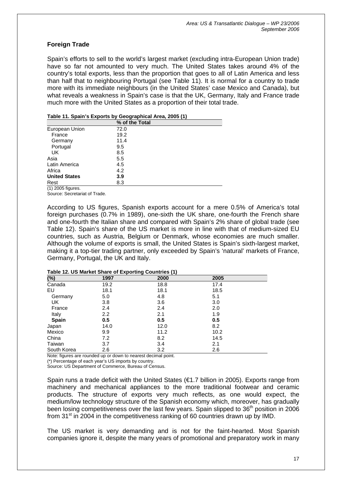# **Foreign Trade**

Spain's efforts to sell to the world's largest market (excluding intra-European Union trade) have so far not amounted to very much. The United States takes around 4% of the country's total exports, less than the proportion that goes to all of Latin America and less than half that to neighbouring Portugal (see Table 11). It is normal for a country to trade more with its immediate neighbours (in the United States' case Mexico and Canada), but what reveals a weakness in Spain's case is that the UK, Germany, Italy and France trade much more with the United States as a proportion of their total trade.

| Table 11. Spain's Exports by Geographical Area, 2005 (1) |                |  |
|----------------------------------------------------------|----------------|--|
|                                                          | % of the Total |  |
| European Union                                           | 72.0           |  |
| France                                                   | 19.2           |  |
| Germany                                                  | 11.4           |  |
| Portugal                                                 | 9.5            |  |
| UK                                                       | 8.5            |  |
| Asia                                                     | 5.5            |  |
| Latin America                                            | 4.5            |  |
| Africa                                                   | 4.2            |  |
| <b>United States</b>                                     | 3.9            |  |
| Rest                                                     | 8.3            |  |

### **Table 11. Spain's Exports by Geographical Area, 2005 (1)**

(1) 2005 figures.

Source: Secretariat of Trade.

According to US figures, Spanish exports account for a mere 0.5% of America's total foreign purchases (0.7% in 1989), one-sixth the UK share, one-fourth the French share and one-fourth the Italian share and compared with Spain's 2% share of global trade (see Table 12). Spain's share of the US market is more in line with that of medium-sized EU countries, such as Austria, Belgium or Denmark, whose economies are much smaller. Although the volume of exports is small, the United States is Spain's sixth-largest market, making it a top-tier trading partner, only exceeded by Spain's 'natural' markets of France, Germany, Portugal, the UK and Italy.

| (%)          | $14000$ $141$ $00$ matrice of and $0$ $0$ $1400$<br>1997 | 2000 | 2005 |  |
|--------------|----------------------------------------------------------|------|------|--|
| Canada       | 19.2                                                     | 18.8 | 17.4 |  |
| EU           | 18.1                                                     | 18.1 | 18.5 |  |
| Germany      | 5.0                                                      | 4.8  | 5.1  |  |
| UK           | 3.8                                                      | 3.6  | 3.0  |  |
| France       | 2.4                                                      | 2.4  | 2.0  |  |
| Italy        | $2.2\phantom{0}$                                         | 2.1  | 1.9  |  |
| <b>Spain</b> | 0.5                                                      | 0.5  | 0.5  |  |
| Japan        | 14.0                                                     | 12.0 | 8.2  |  |
| Mexico       | 9.9                                                      | 11.2 | 10.2 |  |
| China        | 7.2                                                      | 8.2  | 14.5 |  |
| Taiwan       | 3.7                                                      | 3.4  | 2.1  |  |
| South Korea  | 2.6                                                      | 3.2  | 2.6  |  |

#### **Table 12. US Market Share of Exporting Countries (1)**

Note: figures are rounded up or down to nearest decimal point.

(\*) Percentage of each year's US imports by country.

Source: US Department of Commerce, Bureau of Census.

Spain runs a trade deficit with the United States (€1.7 billion in 2005). Exports range from machinery and mechanical appliances to the more traditional footwear and ceramic products. The structure of exports very much reflects, as one would expect, the medium/low technology structure of the Spanish economy which, moreover, has gradually been losing competitiveness over the last few years. Spain slipped to 36<sup>th</sup> position in 2006 from 31<sup>st</sup> in 2004 in the competitiveness ranking of 60 countries drawn up by IMD.

The US market is very demanding and is not for the faint-hearted. Most Spanish companies ignore it, despite the many years of promotional and preparatory work in many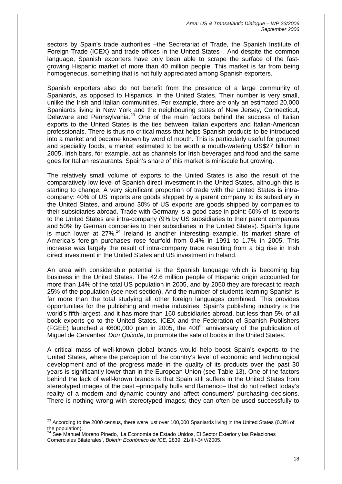sectors by Spain's trade authorities -the Secretariat of Trade, the Spanish Institute of Foreign Trade (ICEX) and trade offices in the United States–. And despite the common language, Spanish exporters have only been able to scrape the surface of the fastgrowing Hispanic market of more than 40 million people. This market is far from being homogeneous, something that is not fully appreciated among Spanish exporters.

Spanish exporters also do not benefit from the presence of a large community of Spaniards, as opposed to Hispanics, in the United States. Their number is very small, unlike the Irish and Italian communities. For example, there are only an estimated 20,000 Spaniards living in New York and the neighbouring states of New Jersey, Connecticut, Delaware and Pennsylvania.<sup>23</sup> One of the main factors behind the success of Italian exports to the United States is the ties between Italian exporters and Italian-American professionals. There is thus no critical mass that helps Spanish products to be introduced into a market and become known by word of mouth. This is particularly useful for gourmet and speciality foods, a market estimated to be worth a mouth-watering US\$27 billion in 2005. Irish bars, for example, act as channels for Irish beverages and food and the same goes for Italian restaurants. Spain's share of this market is miniscule but growing.

The relatively small volume of exports to the United States is also the result of the comparatively low level of Spanish direct investment in the United States, although this is starting to change. A very significant proportion of trade with the United States is intracompany: 40% of US imports are goods shipped by a parent company to its subsidiary in the United States, and around 30% of US exports are goods shipped by companies to their subsidiaries abroad. Trade with Germany is a good case in point: 60% of its exports to the United States are intra-company (9% by US subsidiaries to their parent companies and 50% by German companies to their subsidiaries in the United States). Spain's figure is much lower at  $27\%$ .<sup>24</sup> Ireland is another interesting example. Its market share of America's foreign purchases rose fourfold from 0.4% in 1991 to 1.7% in 2005. This increase was largely the result of intra-company trade resulting from a big rise in Irish direct investment in the United States and US investment in Ireland.

An area with considerable potential is the Spanish language which is becoming big business in the United States. The 42.6 million people of Hispanic origin accounted for more than 14% of the total US population in 2005, and by 2050 they are forecast to reach 25% of the population (see next section). And the number of students learning Spanish is far more than the total studying all other foreign languages combined. This provides opportunities for the publishing and media industries. Spain's publishing industry is the world's fifth-largest, and it has more than 160 subsidiaries abroad, but less than 5% of all book exports go to the United States. ICEX and the Federation of Spanish Publishers (FGEE) launched a  $600,000$  plan in 2005, the 400<sup>th</sup> anniversary of the publication of Miguel de Cervantes' *Don Quixote*, to promote the sale of books in the United States.

A critical mass of well-known global brands would help boost Spain's exports to the United States, where the perception of the country's level of economic and technological development and of the progress made in the quality of its products over the past 30 years is significantly lower than in the European Union (see Table 13). One of the factors behind the lack of well-known brands is that Spain still suffers in the United States from stereotyped images of the past –principally bulls and flamenco– that do not reflect today's reality of a modern and dynamic country and affect consumers' purchasing decisions. There is nothing wrong with stereotyped images; they can often be used successfully to

<span id="page-18-0"></span> $\overline{\phantom{a}}$ <sup>23</sup> According to the 2000 census, there were just over 100,000 Spaniards living in the United States (0.3% of the population).

<span id="page-18-1"></span>See Manuel Moreno Pinedo, 'La Economía de Estado Unidos, El Sector Exterior y las Relaciones Comerciales Bilaterales', *Boletín Económico de ICE*, 2839, 21/III/-3/IV/2005.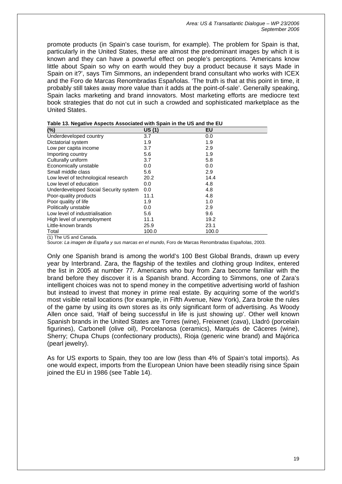promote products (in Spain's case tourism, for example). The problem for Spain is that, particularly in the United States, these are almost the predominant images by which it is known and they can have a powerful effect on people's perceptions. 'Americans know little about Spain so why on earth would they buy a product because it says Made in Spain on it?', says Tim Simmons, an independent brand consultant who works with ICEX and the Foro de Marcas Renombradas Españolas. 'The truth is that at this point in time, it probably still takes away more value than it adds at the point-of-sale'. Generally speaking, Spain lacks marketing and brand innovators. Most marketing efforts are mediocre text book strategies that do not cut in such a crowded and sophisticated marketplace as the United States.

| (%)                                   | US(1) | EU    |
|---------------------------------------|-------|-------|
| Underdeveloped country                | 3.7   | 0.0   |
| Dictatorial system                    | 1.9   | 1.9   |
| Low per capita income                 | 3.7   | 2.9   |
| Importing country                     | 5.6   | 1.9   |
| Culturally uniform                    | 3.7   | 5.8   |
| Economically unstable                 | 0.0   | 0.0   |
| Small middle class                    | 5.6   | 2.9   |
| Low level of technological research   | 20.2  | 14.4  |
| Low level of education                | 0.0   | 4.8   |
| Underdeveloped Social Security system | 0.0   | 4.8   |
| Poor-quality products                 | 11.1  | 4.8   |
| Poor quality of life                  | 1.9   | 1.0   |
| Politically unstable                  | 0.0   | 2.9   |
| Low level of industrialisation        | 5.6   | 9.6   |
| High level of unemployment            | 11.1  | 19.2  |
| Little-known brands                   | 25.9  | 23.1  |
| Total                                 | 100.0 | 100.0 |

| Table 13. Negative Aspects Associated with Spain in the US and the EU |
|-----------------------------------------------------------------------|
|-----------------------------------------------------------------------|

(1) The US and Canada.

Source: *La imagen de España y sus marcas en el mundo*, Foro de Marcas Renombradas Españolas, 2003.

Only one Spanish brand is among the world's 100 Best Global Brands, drawn up every year by Interbrand. Zara, the flagship of the textiles and clothing group Inditex, entered the list in 2005 at number 77. Americans who buy from Zara become familiar with the brand before they discover it is a Spanish brand. According to Simmons, one of Zara's intelligent choices was not to spend money in the competitive advertising world of fashion but instead to invest that money in prime real estate. By acquiring some of the world's most visible retail locations (for example, in Fifth Avenue, New York), Zara broke the rules of the game by using its own stores as its only significant form of advertising. As Woody Allen once said, 'Half of being successful in life is just showing up'. Other well known Spanish brands in the United States are Torres (wine), Freixenet (*cava*), Lladró (porcelain figurines), Carbonell (olive oil), Porcelanosa (ceramics), Marqués de Cáceres (wine), Sherry; Chupa Chups (confectionary products), Rioja (generic wine brand) and Majórica (pearl jewelry).

As for US exports to Spain, they too are low (less than 4% of Spain's total imports). As one would expect, imports from the European Union have been steadily rising since Spain joined the EU in 1986 (see Table 14).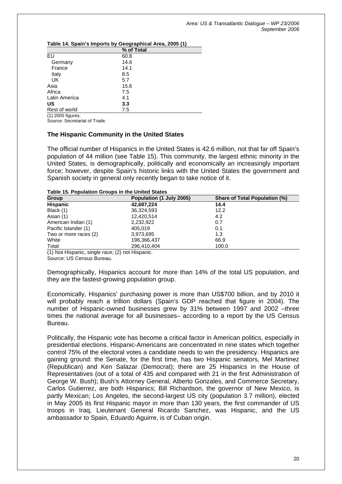|                                | % of Total |  |
|--------------------------------|------------|--|
| EU                             | 60.8       |  |
| Germany                        | 14.6       |  |
| France                         | 14.1       |  |
| Italy                          | 8.5        |  |
| UK                             | 5.7        |  |
| Asia                           | 15.6       |  |
| Africa                         | 7.5        |  |
| Latin America                  | 4.1        |  |
| US                             | 3.3        |  |
| Rest of world                  | 7.5        |  |
| $\overline{(1)}$ 2005 figures. |            |  |

**Table 14. Spain's Imports by Geographical Area, 2005 (1)** 

Source: Secretariat of Trade.

## **The Hispanic Community in the United States**

The official number of Hispanics in the United States is 42.6 million, not that far off Spain's population of 44 million (see Table 15). This community, the largest ethnic minority in the United States, is demographically, politically and economically an increasingly important force; however, despite Spain's historic links with the United States the government and Spanish society in general only recently began to take notice of it.

#### **Table 15. Population Groups in the United States**

| <b>Group</b>          | Population (1 July 2005) | <b>Share of Total Population (%)</b> |
|-----------------------|--------------------------|--------------------------------------|
| <b>Hispanic</b>       | 42,687,224               | 14.4                                 |
| Black (1)             | 36,324,593               | 12.2                                 |
| Asian (1)             | 12,420,514               | 4.2                                  |
| American Indian (1)   | 2.232.922                | 0.7                                  |
| Pacific Islander (1)  | 405.019                  | 0.1                                  |
| Two or more races (2) | 3,973,695                | 1.3                                  |
| White                 | 198,366,437              | 66.9                                 |
| Total                 | 296.410.404              | 100.0                                |

(1) Not Hispanic, single race; (2) not Hispanic.

Source: US Census Bureau.

Demographically, Hispanics account for more than 14% of the total US population, and they are the fastest-growing population group.

Economically, Hispanics' purchasing power is more than US\$700 billion, and by 2010 it will probably reach a trillion dollars (Spain's GDP reached that figure in 2004). The number of Hispanic-owned businesses grew by 31% between 1997 and 2002 –three times the national average for all businesses– according to a report by the US Census Bureau.

Politically, the Hispanic vote has become a critical factor in American politics, especially in presidential elections. Hispanic-Americans are concentrated in nine states which together control 75% of the electoral votes a candidate needs to win the presidency. Hispanics are gaining ground: the Senate, for the first time, has two Hispanic senators, Mel Martinez (Republican) and Ken Salazar (Democrat); there are 25 Hispanics in the House of Representatives (out of a total of 435 and compared with 21 in the first Administration of George W. Bush); Bush's Attorney General, Alberto Gonzales, and Commerce Secretary, Carlos Gutierrez, are both Hispanics; Bill Richardson, the governor of New Mexico, is partly Mexican; Los Angeles, the second-largest US city (population 3.7 million), elected in May 2005 its first Hispanic mayor in more than 130 years, the first commander of US troops in Iraq, Lieutenant General Ricardo Sanchez, was Hispanic, and the US ambassador to Spain, Eduardo Aguirre, is of Cuban origin.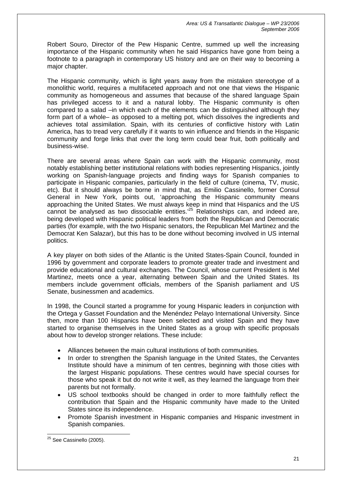Robert Souro, Director of the Pew Hispanic Centre, summed up well the increasing importance of the Hispanic community when he said Hispanics have gone from being a footnote to a paragraph in contemporary US history and are on their way to becoming a major chapter.

The Hispanic community, which is light years away from the mistaken stereotype of a monolithic world, requires a multifaceted approach and not one that views the Hispanic community as homogeneous and assumes that because of the shared language Spain has privileged access to it and a natural lobby. The Hispanic community is often compared to a salad –in which each of the elements can be distinguished although they form part of a whole– as opposed to a melting pot, which dissolves the ingredients and achieves total assimilation. Spain, with its centuries of conflictive history with Latin America, has to tread very carefully if it wants to win influence and friends in the Hispanic community and forge links that over the long term could bear fruit, both politically and business-wise.

There are several areas where Spain can work with the Hispanic community, most notably establishing better institutional relations with bodies representing Hispanics, jointly working on Spanish-language projects and finding ways for Spanish companies to participate in Hispanic companies, particularly in the field of culture (cinema, TV, music, etc). But it should always be borne in mind that, as Emilio Cassinello, former Consul General in New York, points out, 'approaching the Hispanic community means approaching the United States. We must always keep in mind that Hispanics and the US cannot be analysed as two dissociable entities.['25](#page-21-0) Relationships can, and indeed are, being developed with Hispanic political leaders from both the Republican and Democratic parties (for example, with the two Hispanic senators, the Republican Mel Martinez and the Democrat Ken Salazar), but this has to be done without becoming involved in US internal politics.

A key player on both sides of the Atlantic is the United States-Spain Council, founded in 1996 by government and corporate leaders to promote greater trade and investment and provide educational and cultural exchanges. The Council, whose current President is Mel Martinez, meets once a year, alternating between Spain and the United States. Its members include government officials, members of the Spanish parliament and US Senate, businessmen and academics.

In 1998, the Council started a programme for young Hispanic leaders in conjunction with the Ortega y Gasset Foundation and the Menéndez Pelayo International University. Since then, more than 100 Hispanics have been selected and visited Spain and they have started to organise themselves in the United States as a group with specific proposals about how to develop stronger relations. These include:

- Alliances between the main cultural institutions of both communities.
- In order to strengthen the Spanish language in the United States, the Cervantes Institute should have a minimum of ten centres, beginning with those cities with the largest Hispanic populations. These centres would have special courses for those who speak it but do not write it well, as they learned the language from their parents but not formally.
- US school textbooks should be changed in order to more faithfully reflect the contribution that Spain and the Hispanic community have made to the United States since its independence.
- Promote Spanish investment in Hispanic companies and Hispanic investment in Spanish companies.

<span id="page-21-0"></span> $\overline{a}$ <sup>25</sup> See Cassinello (2005).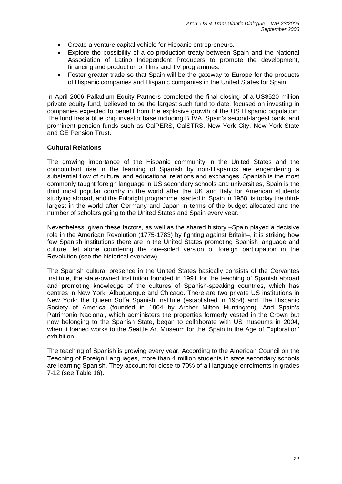- Create a venture capital vehicle for Hispanic entrepreneurs.
- Explore the possibility of a co-production treaty between Spain and the National Association of Latino Independent Producers to promote the development, financing and production of films and TV programmes.
- Foster greater trade so that Spain will be the gateway to Europe for the products of Hispanic companies and Hispanic companies in the United States for Spain.

In April 2006 Palladium Equity Partners completed the final closing of a US\$520 million private equity fund, believed to be the largest such fund to date, focused on investing in companies expected to benefit from the explosive growth of the US Hispanic population. The fund has a blue chip investor base including BBVA, Spain's second-largest bank, and prominent pension funds such as CalPERS, CalSTRS, New York City, New York State and GE Pension Trust.

### **Cultural Relations**

The growing importance of the Hispanic community in the United States and the concomitant rise in the learning of Spanish by non-Hispanics are engendering a substantial flow of cultural and educational relations and exchanges. Spanish is the most commonly taught foreign language in US secondary schools and universities, Spain is the third most popular country in the world after the UK and Italy for American students studying abroad, and the Fulbright programme, started in Spain in 1958, is today the thirdlargest in the world after Germany and Japan in terms of the budget allocated and the number of scholars going to the United States and Spain every year.

Nevertheless, given these factors, as well as the shared history –Spain played a decisive role in the American Revolution (1775-1783) by fighting against Britain–, it is striking how few Spanish institutions there are in the United States promoting Spanish language and culture, let alone countering the one-sided version of foreign participation in the Revolution (see the historical overview).

The Spanish cultural presence in the United States basically consists of the Cervantes Institute, the state-owned institution founded in 1991 for the teaching of Spanish abroad and promoting knowledge of the cultures of Spanish-speaking countries, which has centres in New York, Albuquerque and Chicago. There are two private US institutions in New York: the Queen Sofía Spanish Institute (established in 1954) and The Hispanic Society of America (founded in 1904 by Archer Milton Huntington). And Spain's Patrimonio Nacional, which administers the properties formerly vested in the Crown but now belonging to the Spanish State, began to collaborate with US museums in 2004, when it loaned works to the Seattle Art Museum for the 'Spain in the Age of Exploration' exhibition.

The teaching of Spanish is growing every year. According to the American Council on the Teaching of Foreign Languages, more than 4 million students in state secondary schools are learning Spanish. They account for close to 70% of all language enrolments in grades 7-12 (see Table 16).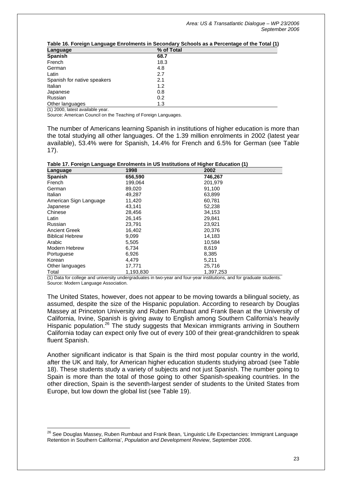| Table To. I Dieigh Language Enforments in Secondary Schools as a Fercentage of the Total (T) |            |
|----------------------------------------------------------------------------------------------|------------|
| Language                                                                                     | % of Total |
| <b>Spanish</b>                                                                               | 68.7       |
| French                                                                                       | 18.3       |
| German                                                                                       | 4.8        |
| Latin                                                                                        | 2.7        |
| Spanish for native speakers                                                                  | 2.1        |
| Italian                                                                                      | 1.2        |
| Japanese                                                                                     | 0.8        |
| Russian                                                                                      | 0.2        |
| Other languages                                                                              | 1.3        |
|                                                                                              |            |

**Traphents of the Total (1)** 

(1) 2000, latest available year.

 $\overline{a}$ 

Source: American Council on the Teaching of Foreign Languages.

The number of Americans learning Spanish in institutions of higher education is more than the total studying all other languages. Of the 1.39 million enrolments in 2002 (latest year available), 53.4% were for Spanish, 14.4% for French and 6.5% for German (see Table 17).

| Language               | 1998      | $\cdots$<br>2002 |  |
|------------------------|-----------|------------------|--|
| <b>Spanish</b>         | 656,590   | 746,267          |  |
| French                 | 199,064   | 201,979          |  |
| German                 | 89.020    | 91,100           |  |
| Italian                | 49,287    | 63,899           |  |
| American Sign Language | 11,420    | 60,781           |  |
| Japanese               | 43,141    | 52,238           |  |
| Chinese                | 28,456    | 34,153           |  |
| Latin                  | 26.145    | 29.841           |  |
| Russian                | 23,791    | 23,921           |  |
| <b>Ancient Greek</b>   | 16,402    | 20,376           |  |
| <b>Biblical Hebrew</b> | 9,099     | 14,183           |  |
| Arabic                 | 5,505     | 10,584           |  |
| Modern Hebrew          | 6,734     | 8,619            |  |
| Portuguese             | 6,926     | 8,385            |  |
| Korean                 | 4.479     | 5.211            |  |
| Other languages        | 17,771    | 25,716           |  |
| Total                  | 1,193,830 | 1,397,253        |  |

(1) Data for college and university undergraduates in two-year and four-year institutions, and for graduate students. Source: Modern Language Association.

The United States, however, does not appear to be moving towards a bilingual society, as assumed, despite the size of the Hispanic population. According to research by Douglas Massey at Princeton University and Ruben Rumbaut and Frank Bean at the University of California, Irvine, Spanish is giving away to English among Southern California's heavily Hispanic population.<sup>26</sup> The study suggests that Mexican immigrants arriving in Southern California today can expect only five out of every 100 of their great-grandchildren to speak fluent Spanish.

Another significant indicator is that Spain is the third most popular country in the world, after the UK and Italy, for American higher education students studying abroad (see Table 18). These students study a variety of subjects and not just Spanish. The number going to Spain is more than the total of those going to other Spanish-speaking countries. In the other direction, Spain is the seventh-largest sender of students to the United States from Europe, but low down the global list (see Table 19).

<span id="page-23-0"></span><sup>&</sup>lt;sup>26</sup> See Douglas Massey, Ruben Rumbaut and Frank Bean, 'Linguistic Life Expectancies: Immigrant Language Retention in Southern California', *Population and Development Review*, September 2006.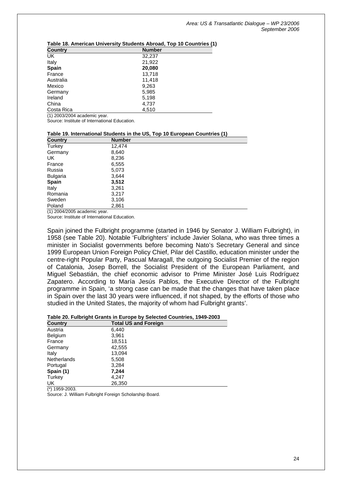| <b>Country</b> | <b>Number</b> |
|----------------|---------------|
| UK             | 32,237        |
| Italy          | 21,922        |
| <b>Spain</b>   | 20,080        |
| France         | 13,718        |
| Australia      | 11,418        |
| Mexico         | 9,263         |
| Germany        | 5,985         |
| Ireland        | 5,198         |
| China          | 4,737         |
| Costa Rica     | 4,510         |

### **Table 18. American University Students Abroad, Top 10 Countries (1)**

(1) 2003/2004 academic year.

Source: Institute of International Education.

#### **Table 19. International Students in the US, Top 10 European Countries (1)**

| <b>Number</b> |
|---------------|
| 12,474        |
| 8,640         |
| 8,236         |
| 6,555         |
| 5,073         |
| 3,644         |
| 3,512         |
| 3,261         |
| 3,217         |
| 3,106         |
| 2,861         |
|               |

(1) 2004/2005 academic year.

Source: Institute of International Education.

Spain joined the Fulbright programme (started in 1946 by Senator J. William Fulbright), in 1958 (see Table 20). Notable 'Fulbrighters' include Javier Solana, who was three times a minister in Socialist governments before becoming Nato's Secretary General and since 1999 European Union Foreign Policy Chief, Pilar del Castillo, education minister under the centre-right Popular Party, Pascual Maragall, the outgoing Socialist Premier of the region of Catalonia, Josep Borrell, the Socialist President of the European Parliament, and Miguel Sebastián, the chief economic advisor to Prime Minister José Luis Rodríguez Zapatero. According to María Jesús Pablos, the Executive Director of the Fulbright programme in Spain, 'a strong case can be made that the changes that have taken place in Spain over the last 30 years were influenced, if not shaped, by the efforts of those who studied in the United States, the majority of whom had Fulbright grants'.

#### **Table 20. Fulbright Grants in Europe by Selected Countries, 1949-2003**

| <b>Total US and Foreign</b> |
|-----------------------------|
| 6,440                       |
| 3,961                       |
| 18,511                      |
| 42,555                      |
| 13,094                      |
| 5,508                       |
| 3,284                       |
| 7,244                       |
| 4,247                       |
| 26,350                      |
|                             |

(\*) 1959-2003.

Source: J. William Fulbright Foreign Scholarship Board.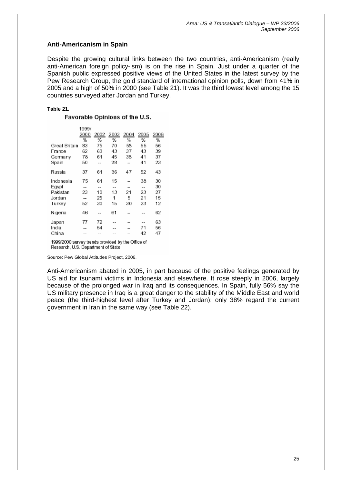## **Anti-Americanism in Spain**

Despite the growing cultural links between the two countries, anti-Americanism (really anti-American foreign policy-ism) is on the rise in Spain. Just under a quarter of the Spanish public expressed positive views of the United States in the latest survey by the Pew Research Group, the gold standard of international opinion polls, down from 41% in 2005 and a high of 50% in 2000 (see Table 21). It was the third lowest level among the 15 countries surveyed after Jordan and Turkey.

### **Table 21.**

### Favorable Opinions of the U.S.

|               | 1999/ |      |      |      |      |      |
|---------------|-------|------|------|------|------|------|
|               | 2000  | 2002 | 2003 | 2004 | 2005 | 2006 |
|               | %     | %    | %    | %    | %    | %    |
| Great Britain | 83    | 75   | 70   | 58   | 55   | 56   |
| France        | 62    | 63   | 43   | 37   | 43   | 39   |
| Germany       | 78    | 61   | 45   | 38   | 41   | 37   |
| Spain         | 50    |      | 38   |      | 41   | 23   |
| Russia        | 37    | 61   | 36   | 47   | 52   | 43   |
| Indonesia     | 75    | 61   | 15   |      | 38   | 30   |
| Egypt         |       |      | --   |      |      | 30   |
| Pakistan      | 23    | 10   | 13   | 21   | 23   | 27   |
| Jordan        | $-$   | 25   | 1    | 5    | 21   | 15   |
| Turkey        | 52    | 30   | 15   | 30   | 23   | 12   |
| Nigeria       | 46    | --   | 61   |      |      | 62   |
| Japan         | 77    | 72   |      |      |      | 63   |
| India         | --    | 54   |      |      | 71   | 56   |
| China         |       |      |      |      | 42   | 47   |
| 400000000     |       |      |      |      |      |      |

1999/2000 survey trends provided by the Office of Research, U.S. Department of State

Source: Pew Global Attitudes Project, 2006.

Anti-Americanism abated in 2005, in part because of the positive feelings generated by US aid for tsunami victims in Indonesia and elsewhere. It rose steeply in 2006, largely because of the prolonged war in Iraq and its consequences. In Spain, fully 56% say the US military presence in Iraq is a great danger to the stability of the Middle East and world peace (the third-highest level after Turkey and Jordan); only 38% regard the current government in Iran in the same way (see Table 22).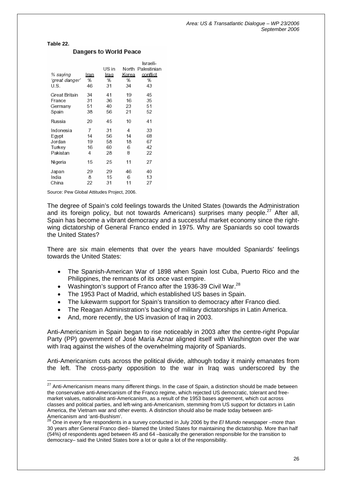*Area: US & Transatlantic Dialogue – WP 23/2006 September 2006* 

**Table 22.** 

 $\overline{a}$ 

|                |      |       |       | Israeli-    |
|----------------|------|-------|-------|-------------|
|                |      | US in | North | Palestinian |
| % saying       | lran | Iraq  | Korea | confiict    |
| 'great danger' | %    | %     | %     | %           |
| U.S.           | 46   | 31    | 34    | 43          |
| Great Britain  | 34   | 41    | 19    | 45          |
| France         | 31   | 36    | 16    | 35          |
| Germany        | 51   | 40    | 23    | 51          |
| Spain          | 38   | 56    | 21    | 52          |
| Russia         | 20   | 45    | 10    | 41          |
| Indonesia      | 7    | 31    | 4     | 33          |
| Egypt          | 14   | 56    | 14    | 68          |
| Jordan         | 19   | 58    | 18    | 67          |
| Turkey         | 16   | 60    | 6     | 42          |
| Pakistan       | 4    | 28    | 8     | 22          |
| Nigeria        | 15   | 25    | 11    | 27          |
| Japan          | 29   | 29    | 46    | 40          |
| India          | 8    | 15    | 6     | 13          |
| China          | 22   | 31    | 11    | 27          |

#### **Dangers to World Peace**

Source: Pew Global Attitudes Project, 2006.

The degree of Spain's cold feelings towards the United States (towards the Administration and its foreign policy, but not towards Americans) surprises many people. $27$  After all. Spain has become a vibrant democracy and a successful market economy since the rightwing dictatorship of General Franco ended in 1975. Why are Spaniards so cool towards the United States?

There are six main elements that over the years have moulded Spaniards' feelings towards the United States:

- The Spanish-American War of 1898 when Spain lost Cuba, Puerto Rico and the Philippines, the remnants of its once vast empire.
- Washington's support of Franco after the 1936-39 Civil War. $^{28}$  $^{28}$  $^{28}$
- The 1953 Pact of Madrid, which established US bases in Spain.
- The lukewarm support for Spain's transition to democracy after Franco died.
- The Reagan Administration's backing of military dictatorships in Latin America.
- And, more recently, the US invasion of Iraq in 2003.

Anti-Americanism in Spain began to rise noticeably in 2003 after the centre-right Popular Party (PP) government of José María Aznar aligned itself with Washington over the war with Iraq against the wishes of the overwhelming majority of Spaniards.

Anti-Americanism cuts across the political divide, although today it mainly emanates from the left. The cross-party opposition to the war in Iraq was underscored by the

<span id="page-26-0"></span> $^{27}$  Anti-Americanism means many different things. In the case of Spain, a distinction should be made between the conservative anti-Americanism of the Franco regime, which rejected US democratic, tolerant and freemarket values, nationalist anti-Americanism, as a result of the 1953 bases agreement, which cut across classes and political parties, and left-wing anti-Americanism, stemming from US support for dictators in Latin America, the Vietnam war and other events. A distinction should also be made today between anti-Americanism and 'anti-Bushism'.<br>
<sup>28</sup> One in success<sup>t</sup>.

<span id="page-26-1"></span><sup>28</sup> One in every five respondents in a survey conducted in July 2006 by the *El Mundo* newspaper –more than 30 years after General Franco died– blamed the United States for maintaining the dictatorship. More than half (54%) of respondents aged between 45 and 64 –basically the generation responsible for the transition to democracy– said the United States bore a lot or quite a lot of the responsibility.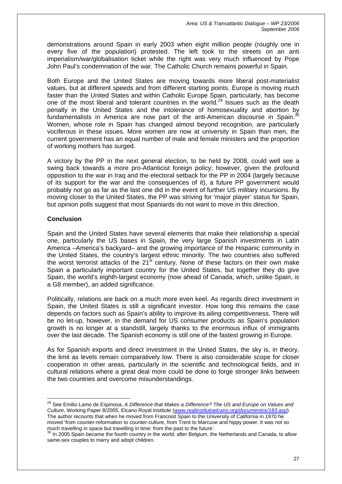demonstrations around Spain in early 2003 when eight million people (roughly one in every five of the population) protested. The left took to the streets on an anti imperialism/war/globalisation ticket while the right was very much influenced by Pope John Paul's condemnation of the war. The Catholic Church remains powerful in Spain.

Both Europe and the United States are moving towards more liberal post-materialist values, but at different speeds and from different starting points. Europe is moving much faster than the United States and within Catholic Europe Spain, particularly, has become one of the most liberal and tolerant countries in the world.<sup>29</sup> Issues such as the death penalty in the United States and the intolerance of homosexuality and abortion by fundamentalists in America are now part of the anti-American discourse in Spain. $3$ Women, whose role in Spain has changed almost beyond recognition, are particularly vociferous in these issues. More women are now at university in Spain than men, the current government has an equal number of male and female ministers and the proportion of working mothers has surged.

A victory by the PP in the next general election, to be held by 2008, could well see a swing back towards a more pro-Atlanticist foreign policy; however, given the profound opposition to the war in Iraq and the electoral setback for the PP in 2004 (largely because of its support for the war and the consequences of it), a future PP government would probably not go as far as the last one did in the event of further US military incursions. By moving closer to the United States, the PP was striving for 'major player' status for Spain, but opinion polls suggest that most Spaniards do not want to move in this direction.

# **Conclusion**

 $\overline{a}$ 

Spain and the United States have several elements that make their relationship a special one, particularly the US bases in Spain, the very large Spanish investments in Latin America –America's backyard– and the growing importance of the Hispanic community in the United States, the country's largest ethnic minority. The two countries also suffered the worst terrorist attacks of the  $21^{st}$  century. None of these factors on their own make Spain a particularly important country for the United States, but together they do give Spain, the world's eighth-largest economy (now ahead of Canada, which, unlike Spain, is a G8 member), an added significance.

Politically, relations are back on a much more even keel. As regards direct investment in Spain, the United States is still a significant investor. How long this remains the case depends on factors such as Spain's ability to improve its ailing competitiveness. There will be no let-up, however, in the demand for US consumer products as Spain's population growth is no longer at a standstill, largely thanks to the enormous influx of immigrants over the last decade. The Spanish economy is still one of the fastest growing in Europe.

As for Spanish exports and direct investment in the United States, the sky is, in theory, the limit as levels remain comparatively low. There is also considerable scope for closer cooperation in other areas, particularly in the scientific and technological fields, and in cultural relations where a great deal more could be done to forge stronger links between the two countries and overcome misunderstandings.

<span id="page-27-0"></span><sup>29</sup> See Emilio Lamo de Espinosa, *A Difference that Makes a Difference? The US and Europe on Values and Culture*, Working Paper 8/2005, Elcano Royal Institute (*[www.realinstitutoelcano.org/documentos/183.asp](http://www.realinstitutoelcano.org/documentos/183.asp)*). The author recounts that when he moved from Francoist Spain to the University of California in 1970 he moved 'from counter-reformation to counter-culture, from Trent to Marcuse and hippy power. It was not so much travelling in space but travelling in time: from the past to the future'.

<span id="page-27-1"></span><sup>&</sup>lt;sup>30</sup> In 2005 Spain became the fourth country in the world, after Belgium, the Netherlands and Canada, to allow same-sex couples to marry and adopt children.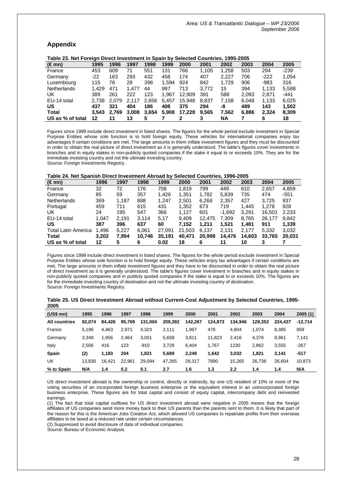## **Appendix**

| Table 23. Net Foreign Direct Investment in Spain by Selected Countries, 1995-2005 |       |       |       |       |       |        |       |       |       |        |        |
|-----------------------------------------------------------------------------------|-------|-------|-------|-------|-------|--------|-------|-------|-------|--------|--------|
| (∈mn)                                                                             | 1995  | 1996  | 1997  | 1998  | 1999  | 2000   | 2001  | 2002  | 2003  | 2004   | 2005   |
| France                                                                            | 453   | 609   | 71    | 551   | 131   | 766    | 1.105 | 1,258 | 503   | 294    | $-239$ |
| Germany                                                                           | $-22$ | 163   | 293   | 432   | 458   | 174    | 407   | 2.227 | 706   | $-222$ | 1.054  |
| Luxembourg                                                                        | 115   | 76    | 28    | 398   | 1.594 | 924    | 842   | 1.729 | 906   | -983   | 316    |
| <b>Netherlands</b>                                                                | 1.429 | 471   | 1.477 | 44    | 997   | 713    | 3.772 | 15    | 394   | 1.133  | 5,588  |
| UK                                                                                | 389   | 261   | 222   | 123   | 1.967 | 12.909 | 391   | 588   | 2.093 | 2.871  | -441   |
| EU-14 total                                                                       | 2.738 | 2.079 | 2.117 | 2.656 | 5.457 | 15.948 | 8.837 | 7.158 | 6.048 | 1.133  | 6,025  |
| <b>US</b>                                                                         | 437   | 321   | 404   | 186   | 408   | 375    | 294   | -8    | 489   | 143    | 1,502  |
| <b>Total</b>                                                                      | 3.543 | 2.769 | 3.008 | 3,654 | 5,908 | 17.228 | 9.565 | 7.562 | 6.886 | 2.324  | 8,309  |
| US as % of total                                                                  | 12    | 11    | 13    |       |       |        |       | ΝA    |       | 6      | 18     |

Figures since 1999 include direct investment in listed shares. The figures for the whole period exclude investment in Special Purpose Entities whose sole function is to hold foreign equity. These vehicles for international companies enjoy tax advantages if certain conditions are met. The large amounts in them inflate investment figures and they must be discounted in order to obtain the real picture of direct investment as it is generally understood. The table's figures cover investments in branches and in equity stakes in non-publicly quoted companies if the stake it equal to or exceeds 10%. They are for the immediate investing country and not the ultimate investing country. Source: Foreign Investments Registry.

#### **Table 24. Net Spanish Direct Investment Abroad by Selected Countries, 1996-2005**

| $(\in$ mn)                 | 1996  | 1997  | 1998   | 1999   | 2000   | 2001   | 2002     | 2003   | 2004   | 2005   |
|----------------------------|-------|-------|--------|--------|--------|--------|----------|--------|--------|--------|
| France                     | 32    | 72    | 176    | 708    | 1.819  | 799    | 449      | 610    | 2.657  | 4,859  |
| Germany                    | 85    | 59    | 357    | 1,426  | 1.351  | 1,782  | 5,839    | 735    | 474    | $-551$ |
| <b>Netherlands</b>         | 369   | 1.187 | 888    | 1.247  | 2.501  | 6.268  | 2,357    | 427    | 3.725  | 937    |
| Portugal                   | 459   | 711   | 615    | 431    | 1,352  | 673    | 719      | 1.445  | 1.278  | 928    |
| UK                         | 24    | 195   | 547    | 366    | 1.127  | 601    | $-1.692$ | 3.291  | 16,501 | 2.233  |
| EU-14 total                | 1.047 | 2.191 | 3.114  | 5.17   | 9.409  | 12.475 | 7,309    | 8,765  | 26.177 | 9,842  |
| US                         | 387   | 396   | 637    | 60     | 7.152  | 1.211  | 1.521    | 1.481  | 911    | 1.339  |
| <b>Total Latin America</b> | 1,496 | 5,227 | 6.061  | 27.091 | 21.503 | 6,137  | 2,131    | 2.177  | 5,332  | 3,032  |
| Total                      | 3.202 | 7.994 | 10.746 | 35.191 | 40.471 | 20,998 | 14,476   | 14,603 | 33.765 | 20.031 |
| US as % of total           | 12    | 5     | 6      | 0.02   | 18     | 6      | 11       | 10     |        |        |

Figures since 1999 include direct investment in listed shares. The figures for the whole period exclude investment in Special Purpose Entities whose sole function is to hold foreign equity. These vehicles enjoy tax advantages if certain conditions are met. The large amounts in them inflate investment figures and they have to be discounted in order to obtain the real picture of direct investment as it is generally understood. The table's figures cover investment in branches and in equity stakes in non-publicly quoted companies and in publicly quoted companies if the stake is equal to or exceeds 10%. The figures are for the immediate investing country of destination and not the ultimate investing country of destination. Source: Foreign Investments Registry.

| $(US$$ mn $)$        | 1995   | 1996   | 1997   | 1998    | 1999    | 2000    | 2001    | 2002    | 2003    | 2004    | 2005(1)   |
|----------------------|--------|--------|--------|---------|---------|---------|---------|---------|---------|---------|-----------|
| <b>All countries</b> | 92.074 | 84,426 | 95.769 | 131,004 | 209.392 | 142.267 | 124.873 | 134.946 | 129.352 | 224.437 | $-12,714$ |
| France               | 5,196  | 4,463  | 2.971  | 4,323   | 2.111   | 1,967   | 476     | 4,604   | 1.074   | 8,385   | 859       |
| Germany              | 3,349  | 1.956  | 2,464  | 3,051   | 5,658   | 3,811   | 11,823  | 2.416   | 4,376   | 8.961   | 7,141     |
| Italy                | 2.506  | 416    | 123    | $-910$  | 3,729   | 6,404   | 1.767   | 1230    | 2,862   | 3,555   | $-267$    |
| <b>Spain</b>         | (2)    | 1.183  | 204    | 1.821   | 5,689   | 2.249   | 1.642   | 3,032   | 1.821   | 3.141   | -517      |
| UK                   | 13.830 | 16,421 | 22,961 | 29,094  | 47,265  | 28,317  | 7890    | 15,265  | 26,738  | 26,604  | 10,873    |
| % to Spain           | N/A    | 1.4    | 0.2    | 0.1     | 2.7     | 1.6     | 1.3     | 2.2     | 1.4     | 1.4     | N/A       |

| Table 25. US Direct Investment Abroad without Current-Cost Adjustment by Selected Countries, 1995- |  |  |  |
|----------------------------------------------------------------------------------------------------|--|--|--|
| 2005                                                                                               |  |  |  |

US direct investment abroad is the ownership or control, directly or indirectly, by one US resident of 10% or more of the voting securities of an incorporated foreign business enterprise or the equivalent interest in an unincorporated foreign business enterprise. These figures are for total capital and consist of equity capital, intercompany debt and reinvested earnings.

(1) The fact that total capital outflows for US direct investment abroad were negative in 2005 means that the foreign affiliates of US companies send more money back to their US parents than the parents sent to them. It is likely that part of the reason for this is the American Jobs Creation Act, which allowed US companies to repatriate profits from their overseas affiliates to be taxed at a reduced rate under certain circumstances.

(2) Suppressed to avoid disclosure of data of individual companies.

Source: Bureau of Economic Analysis.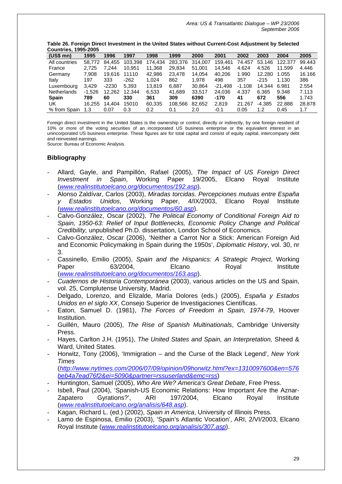| <b>Countries, 1995-2005</b> |          |         |         |         |         |         |           |          |          |         |        |
|-----------------------------|----------|---------|---------|---------|---------|---------|-----------|----------|----------|---------|--------|
| $(US$$ mn $)$               | 1995     | 1996    | 1997    | 1998    | 1999    | 2000    | 2001      | 2002     | 2003     | 2004    | 2005   |
| All countries               | 58.772   | 84.455  | 103,398 | 174.434 | 283.376 | 314.007 | 159.461   | 74.457   | 53.146   | 122,377 | 99.443 |
| France                      | 2.725    | 7.244   | 10.951  | 11,368  | 29,834  | 51.001  | 14.546    | 4.624    | 4.526    | 11.599  | 4.446  |
| Germany                     | 7.908    | 19.616  | 11110   | 42,986  | 23,478  | 14.054  | 40.206    | 1.990    | 12.280   | 1.055   | 16.166 |
| Italy                       | 197      | 333     | $-262$  | 1.024   | 862     | 1.978   | 498       | 357      | $-215$   | 1.130   | 386    |
| Luxembourg                  | 3.429    | $-2230$ | 5.393   | 13.819  | 6.887   | 30.864  | $-21.498$ | $-1.108$ | 14.344   | 6.981   | 2.554  |
| Netherlands                 | $-1.526$ | 12.262  | 12.344  | 6.533   | 41.689  | 33.517  | 24.036    | 4.337    | 6.365    | 9.348   | 7.113  |
| <b>Spain</b>                | 789      | 60      | 330     | 361     | 309     | 6390    | $-170$    | 41       | 672      | 556     | 1.743  |
| UK                          | 16.255   | 14.404  | 15010   | 60,335  | 108.566 | 82.652  | 2,819     | 21.267   | $-4.385$ | 22,888  | 28,878 |
| % from Spain                | 1.3      | 0.07    | 0.3     | 0.2     | 0.1     | 2.0     | -0.1      | 0.05     | 1.2      | 0.45    | 1.7    |

**Table 26. Foreign Direct Investment in the United States without Current-Cost Adjustment by Selected**

Foreign direct investment in the United States is the ownership or control, directly or indirectly, by one foreign resident of 10% or more of the voting securities of an incorporated US business enterprise or the equivalent interest in an unincorporated US business enterprise. These figures are for total capital and consist of equity capital, intercompany debt and reinvested earnings.

Source: Bureau of Economic Analysis.

## **Bibliography**

- Allard, Gayle, and Pampillón, Rafael (2005), *The Impact of US Foreign Direct Investment in Spain*, Working Paper 19/2005, Elcano Royal Institute (*[www.realinstitutoelcano.org/documentos/192.asp](http://www.realinstitutoelcano.org/documentos/192.asp)*).
- Alonso Zaldívar, Carlos (2003), *Miradas torcidas. Percepciones mutuas entre España y Estados Unidos*, Working Paper, 4/IX/2003, Elcano Royal Institute (*[www.realinstitutoelcano.org/documentos/60.asp](http://www.realinstitutoelcano.org/documentos/60.asp)*).
- Calvo-González, Oscar (2002), *The Political Economy of Conditional Foreign Aid to Spain, 1950-63: Relief of Input Bottlenecks, Economic Policy Change and Political Credibility,* unpublished Ph.D. dissertation, London School of Economics.
- Calvo-González, Oscar (2006), 'Neither a Carrot Nor a Stick: American Foreign Aid and Economic Policymaking in Spain during the 1950s', *Diplomatic History*, vol. 30, nr 3.
- Cassinello, Emilio (2005), *Spain and the Hispanics: A Strategic Project*, Working Paper 63/2004, Elcano Royal Institute (*[www.realinstitutoelcano.org/documentos/163.asp](http://www.realinstitutoelcano.org/documentos/163.asp)*).
- *Cuadernos de Historia Contemporánea* (2003), various articles on the US and Spain, vol. 25, Complutense University, Madrid.
- Delgado, Lorenzo, and Elizalde, María Dolores (eds.) (2005), *España y Estados Unidos en el siglo XX*, Consejo Superior de Investigaciones Científicas.
- Eaton, Samuel D. (1981), *The Forces of Freedom in Spain, 1974-79*, Hoover Institution.
- Guillén, Mauro (2005), *The Rise of Spanish Multinationals*, Cambridge University Press.
- Hayes, Carlton J.H. (1951), *The United States and Spain, an Interpretation,* Sheed & Ward, United States.
- Horwitz, Tony (2006), 'Immigration and the Curse of the Black Legend', *New York Times*

(*[http://www.nytimes.com/2006/07/09/opinion/09horwitz.html?ex=1310097600&en=576](http://www.nytimes.com/2006/07/09/opinion/09horwitz.html?ex=1310097600&en=576beb4a7ead76f2&ei=5090&partner=rssuserland&emc=rss) [beb4a7ead76f2&ei=5090&partner=rssuserland&emc=rss](http://www.nytimes.com/2006/07/09/opinion/09horwitz.html?ex=1310097600&en=576beb4a7ead76f2&ei=5090&partner=rssuserland&emc=rss)*)

- Huntington, Samuel (2005), *Who Are We? America's Great Debate*, Free Press.
- Isbell, Paul (2004), 'Spanish-US Economic Relations: How Important Are the Aznar-Zapatero Gyrations?', ARI 197/2004, Elcano Royal Institute (*[www.realinstitutoelcano.org/analisis/648.asp](http://www.realinstitutoelcano.org/analisis/648.asp)*).
- Kagan, Richard L. (ed.) (2002), *Spain in America*, University of Illinois Press.
- Lamo de Espinosa, Emilio (2003), 'Spain's Atlantic Vocation', ARI, 2/VI/2003, Elcano Royal Institute (*[www.realinstitutoelcano.org/analisis/307.asp](http://www.realinstitutoelcano.org/analisis/307.asp)*).